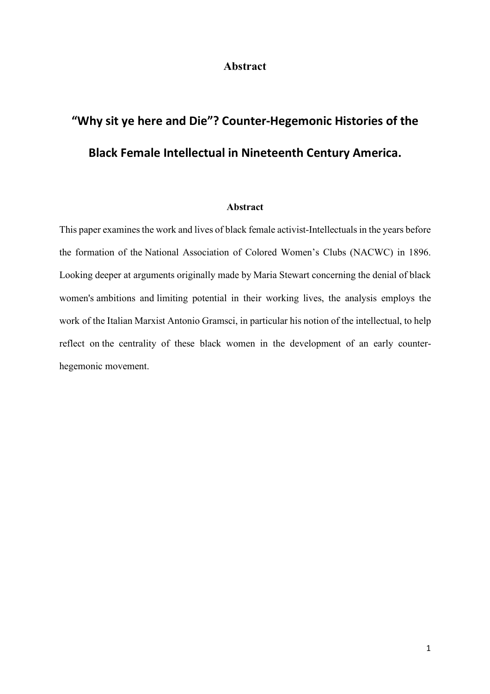#### **Abstract**

# **"Why sit ye here and Die"? Counter-Hegemonic Histories of the Black Female Intellectual in Nineteenth Century America.**

#### **Abstract**

This paper examines the work and lives of black female activist-Intellectuals in the years before the formation of the National Association of Colored Women's Clubs (NACWC) in 1896. Looking deeper at arguments originally made by Maria Stewart concerning the denial of black women's ambitions and limiting potential in their working lives, the analysis employs the work of the Italian Marxist Antonio Gramsci, in particular his notion of the intellectual, to help reflect on the centrality of these black women in the development of an early counterhegemonic movement.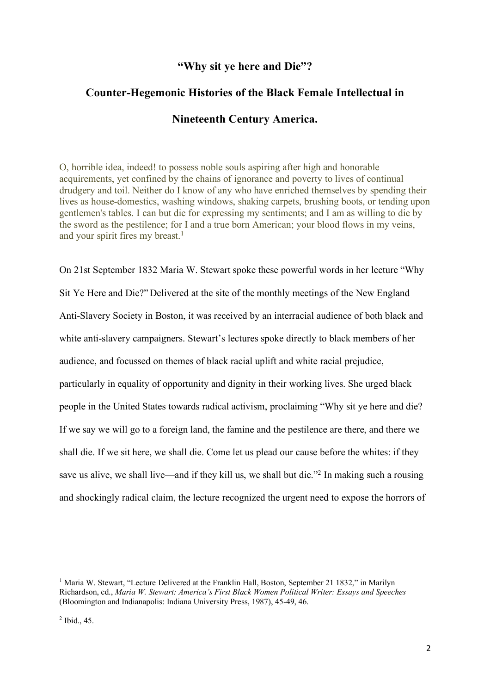#### **"Why sit ye here and Die"?**

## **Counter-Hegemonic Histories of the Black Female Intellectual in Nineteenth Century America.**

O, horrible idea, indeed! to possess noble souls aspiring after high and honorable acquirements, yet confined by the chains of ignorance and poverty to lives of continual drudgery and toil. Neither do I know of any who have enriched themselves by spending their lives as house-domestics, washing windows, shaking carpets, brushing boots, or tending upon gentlemen's tables. I can but die for expressing my sentiments; and I am as willing to die by the sword as the pestilence; for I and a true born American; your blood flows in my veins, and your spirit fires my breast. 1

On 21st September 1832 Maria W. Stewart spoke these powerful words in her lecture "Why Sit Ye Here and Die?" Delivered at the site of the monthly meetings of the New England Anti-Slavery Society in Boston, it was received by an interracial audience of both black and white anti-slavery campaigners. Stewart's lectures spoke directly to black members of her audience, and focussed on themes of black racial uplift and white racial prejudice, particularly in equality of opportunity and dignity in their working lives. She urged black people in the United States towards radical activism, proclaiming "Why sit ye here and die? If we say we will go to a foreign land, the famine and the pestilence are there, and there we shall die. If we sit here, we shall die. Come let us plead our cause before the whites: if they save us alive, we shall live—and if they kill us, we shall but die."<sup>2</sup> In making such a rousing and shockingly radical claim, the lecture recognized the urgent need to expose the horrors of

 <sup>1</sup> Maria W. Stewart, "Lecture Delivered at the Franklin Hall, Boston, September 21 1832," in Marilyn Richardson, ed., *Maria W. Stewart: America's First Black Women Political Writer: Essays and Speeches*  (Bloomington and Indianapolis: Indiana University Press, 1987), 45-49, 46.

<sup>2</sup> Ibid., 45.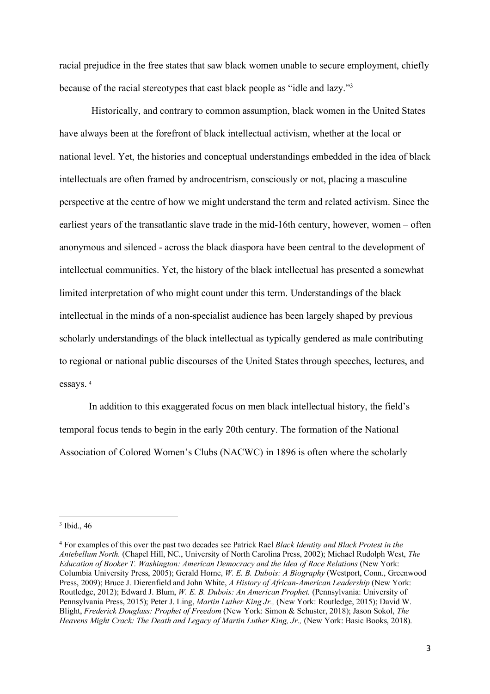racial prejudice in the free states that saw black women unable to secure employment, chiefly because of the racial stereotypes that cast black people as "idle and lazy."3

Historically, and contrary to common assumption, black women in the United States have always been at the forefront of black intellectual activism, whether at the local or national level. Yet, the histories and conceptual understandings embedded in the idea of black intellectuals are often framed by androcentrism, consciously or not, placing a masculine perspective at the centre of how we might understand the term and related activism. Since the earliest years of the transatlantic slave trade in the mid-16th century, however, women – often anonymous and silenced - across the black diaspora have been central to the development of intellectual communities. Yet, the history of the black intellectual has presented a somewhat limited interpretation of who might count under this term. Understandings of the black intellectual in the minds of a non-specialist audience has been largely shaped by previous scholarly understandings of the black intellectual as typically gendered as male contributing to regional or national public discourses of the United States through speeches, lectures, and essays. <sup>4</sup>

In addition to this exaggerated focus on men black intellectual history, the field's temporal focus tends to begin in the early 20th century. The formation of the National Association of Colored Women's Clubs (NACWC) in 1896 is often where the scholarly

<sup>&</sup>lt;sup>3</sup> Ibid., 46

<sup>4</sup> For examples of this over the past two decades see Patrick Rael *Black Identity and Black Protest in the Antebellum North.* (Chapel Hill, NC., University of North Carolina Press, 2002); Michael Rudolph West, *The Education of Booker T. Washington: American Democracy and the Idea of Race Relations* (New York: Columbia University Press, 2005); Gerald Horne, *W. E. B. Dubois: A Biography* (Westport, Conn., Greenwood Press, 2009); Bruce J. Dierenfield and John White, *A History of African-American Leadership* (New York: Routledge, 2012); Edward J. Blum, *W. E. B. Dubois: An American Prophet.* (Pennsylvania: University of Pennsylvania Press, 2015); Peter J. Ling, *Martin Luther King Jr.,* (New York: Routledge, 2015); David W. Blight, *Frederick Douglass: Prophet of Freedom* (New York: Simon & Schuster, 2018); Jason Sokol, *The Heavens Might Crack: The Death and Legacy of Martin Luther King, Jr.,* (New York: Basic Books, 2018).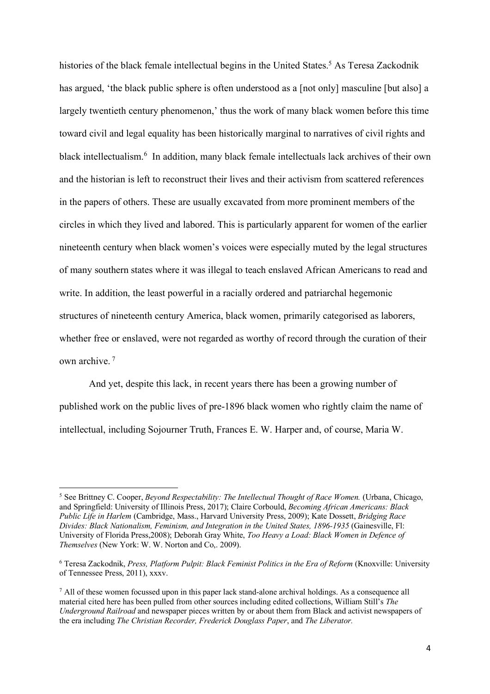histories of the black female intellectual begins in the United States.<sup>5</sup> As Teresa Zackodnik has argued, 'the black public sphere is often understood as a [not only] masculine [but also] a largely twentieth century phenomenon,' thus the work of many black women before this time toward civil and legal equality has been historically marginal to narratives of civil rights and black intellectualism.<sup>6</sup> In addition, many black female intellectuals lack archives of their own and the historian is left to reconstruct their lives and their activism from scattered references in the papers of others. These are usually excavated from more prominent members of the circles in which they lived and labored. This is particularly apparent for women of the earlier nineteenth century when black women's voices were especially muted by the legal structures of many southern states where it was illegal to teach enslaved African Americans to read and write. In addition, the least powerful in a racially ordered and patriarchal hegemonic structures of nineteenth century America, black women, primarily categorised as laborers, whether free or enslaved, were not regarded as worthy of record through the curation of their own archive. <sup>7</sup>

And yet, despite this lack, in recent years there has been a growing number of published work on the public lives of pre-1896 black women who rightly claim the name of intellectual, including Sojourner Truth, Frances E. W. Harper and, of course, Maria W.

<sup>&</sup>lt;sup>5</sup> See Brittney C. Cooper, *Beyond Respectability: The Intellectual Thought of Race Women.* (Urbana, Chicago, and Springfield: University of Illinois Press, 2017); Claire Corbould, *Becoming African Americans: Black Public Life in Harlem* (Cambridge, Mass., Harvard University Press, 2009); Kate Dossett, *Bridging Race Divides: Black Nationalism, Feminism, and Integration in the United States, 1896-1935* (Gainesville, Fl: University of Florida Press,2008); Deborah Gray White, *Too Heavy a Load: Black Women in Defence of Themselves* (New York: W. W. Norton and Co,. 2009).

<sup>6</sup> Teresa Zackodnik, *Press, Platform Pulpit: Black Feminist Politics in the Era of Reform* (Knoxville: University of Tennessee Press, 2011), xxxv.

 $<sup>7</sup>$  All of these women focussed upon in this paper lack stand-alone archival holdings. As a consequence all</sup> material cited here has been pulled from other sources including edited collections, William Still's *The Underground Railroad* and newspaper pieces written by or about them from Black and activist newspapers of the era including *The Christian Recorder, Frederick Douglass Paper*, and *The Liberator.*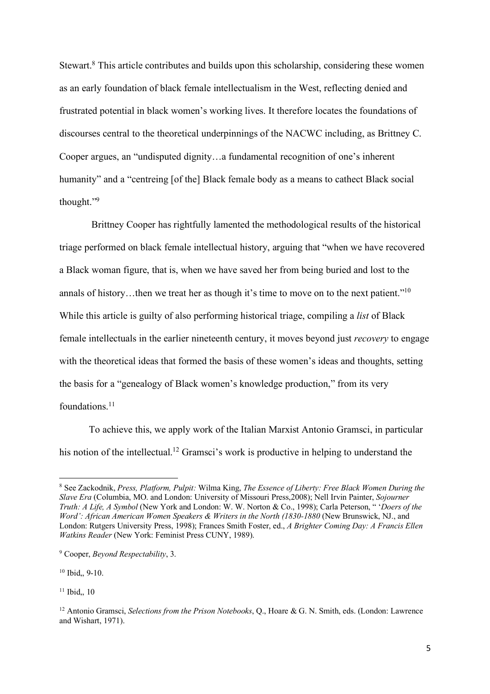Stewart.<sup>8</sup> This article contributes and builds upon this scholarship, considering these women as an early foundation of black female intellectualism in the West, reflecting denied and frustrated potential in black women's working lives. It therefore locates the foundations of discourses central to the theoretical underpinnings of the NACWC including, as Brittney C. Cooper argues, an "undisputed dignity…a fundamental recognition of one's inherent humanity" and a "centreing [of the] Black female body as a means to cathect Black social thought."9

Brittney Cooper has rightfully lamented the methodological results of the historical triage performed on black female intellectual history, arguing that "when we have recovered a Black woman figure, that is, when we have saved her from being buried and lost to the annals of history...then we treat her as though it's time to move on to the next patient."<sup>10</sup> While this article is guilty of also performing historical triage, compiling a *list* of Black female intellectuals in the earlier nineteenth century, it moves beyond just *recovery* to engage with the theoretical ideas that formed the basis of these women's ideas and thoughts, setting the basis for a "genealogy of Black women's knowledge production," from its very foundations.<sup>11</sup>

To achieve this, we apply work of the Italian Marxist Antonio Gramsci, in particular his notion of the intellectual.<sup>12</sup> Gramsci's work is productive in helping to understand the

<sup>10</sup> Ibid,, 9-10.

 $11$  Ibid., 10

 <sup>8</sup> See Zackodnik, *Press, Platform, Pulpit:* Wilma King, *The Essence of Liberty: Free Black Women During the Slave Era* (Columbia, MO. and London: University of Missouri Press,2008); Nell Irvin Painter, *Sojourner Truth: A Life, A Symbol* (New York and London: W. W. Norton & Co., 1998); Carla Peterson, " '*Doers of the Word': African American Women Speakers & Writers in the North (1830-1880* (New Brunswick, NJ., and London: Rutgers University Press, 1998); Frances Smith Foster, ed., *A Brighter Coming Day: A Francis Ellen Watkins Reader* (New York: Feminist Press CUNY, 1989).

<sup>9</sup> Cooper, *Beyond Respectability*, 3.

<sup>12</sup> Antonio Gramsci, *Selections from the Prison Notebooks*, Q., Hoare & G. N. Smith, eds. (London: Lawrence and Wishart, 1971).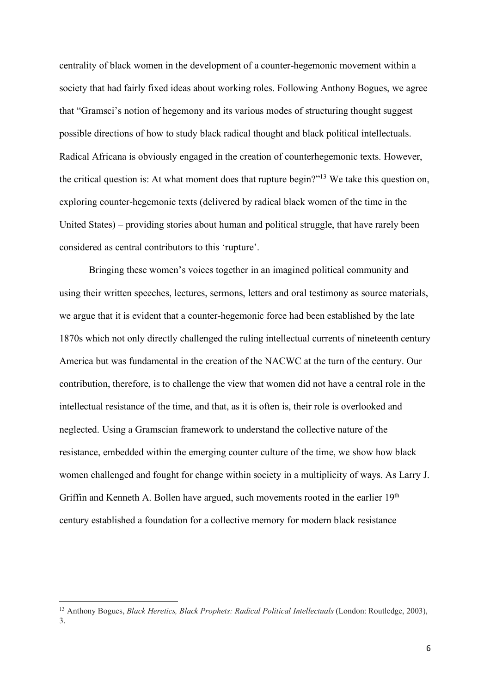centrality of black women in the development of a counter-hegemonic movement within a society that had fairly fixed ideas about working roles. Following Anthony Bogues, we agree that "Gramsci's notion of hegemony and its various modes of structuring thought suggest possible directions of how to study black radical thought and black political intellectuals. Radical Africana is obviously engaged in the creation of counterhegemonic texts. However, the critical question is: At what moment does that rupture begin?"13 We take this question on, exploring counter-hegemonic texts (delivered by radical black women of the time in the United States) – providing stories about human and political struggle, that have rarely been considered as central contributors to this 'rupture'.

Bringing these women's voices together in an imagined political community and using their written speeches, lectures, sermons, letters and oral testimony as source materials, we argue that it is evident that a counter-hegemonic force had been established by the late 1870s which not only directly challenged the ruling intellectual currents of nineteenth century America but was fundamental in the creation of the NACWC at the turn of the century. Our contribution, therefore, is to challenge the view that women did not have a central role in the intellectual resistance of the time, and that, as it is often is, their role is overlooked and neglected. Using a Gramscian framework to understand the collective nature of the resistance, embedded within the emerging counter culture of the time, we show how black women challenged and fought for change within society in a multiplicity of ways. As Larry J. Griffin and Kenneth A. Bollen have argued, such movements rooted in the earlier 19<sup>th</sup> century established a foundation for a collective memory for modern black resistance

<sup>&</sup>lt;sup>13</sup> Anthony Bogues. *Black Heretics, Black Prophets: Radical Political Intellectuals* (London: Routledge, 2003), 3.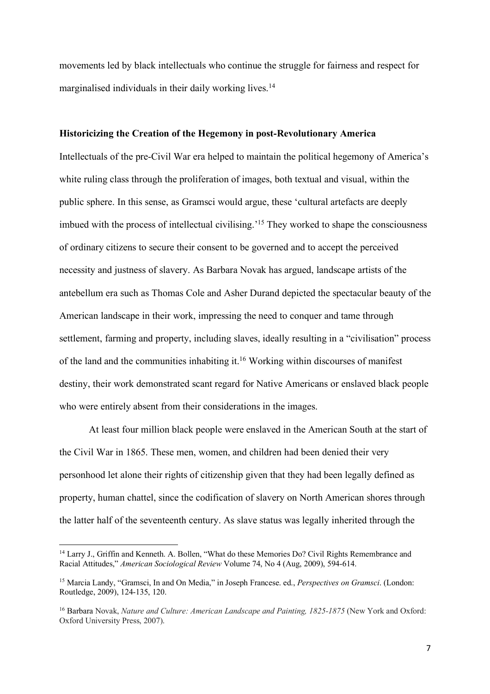movements led by black intellectuals who continue the struggle for fairness and respect for marginalised individuals in their daily working lives.<sup>14</sup>

#### **Historicizing the Creation of the Hegemony in post-Revolutionary America**

Intellectuals of the pre-Civil War era helped to maintain the political hegemony of America's white ruling class through the proliferation of images, both textual and visual, within the public sphere. In this sense, as Gramsci would argue, these 'cultural artefacts are deeply imbued with the process of intellectual civilising.<sup>15</sup> They worked to shape the consciousness of ordinary citizens to secure their consent to be governed and to accept the perceived necessity and justness of slavery. As Barbara Novak has argued, landscape artists of the antebellum era such as Thomas Cole and Asher Durand depicted the spectacular beauty of the American landscape in their work, impressing the need to conquer and tame through settlement, farming and property, including slaves, ideally resulting in a "civilisation" process of the land and the communities inhabiting it. <sup>16</sup> Working within discourses of manifest destiny, their work demonstrated scant regard for Native Americans or enslaved black people who were entirely absent from their considerations in the images.

At least four million black people were enslaved in the American South at the start of the Civil War in 1865. These men, women, and children had been denied their very personhood let alone their rights of citizenship given that they had been legally defined as property, human chattel, since the codification of slavery on North American shores through the latter half of the seventeenth century. As slave status was legally inherited through the

<sup>&</sup>lt;sup>14</sup> Larry J., Griffin and Kenneth. A. Bollen, "What do these Memories Do? Civil Rights Remembrance and Racial Attitudes," *American Sociological Review* Volume 74, No 4 (Aug, 2009), 594-614.

<sup>15</sup> Marcia Landy, "Gramsci, In and On Media," in Joseph Francese. ed., *Perspectives on Gramsci*. (London: Routledge, 2009), 124-135, 120.

<sup>&</sup>lt;sup>16</sup> Barbara Novak, *Nature and Culture: American Landscape and Painting, 1825-1875* (New York and Oxford: Oxford University Press, 2007).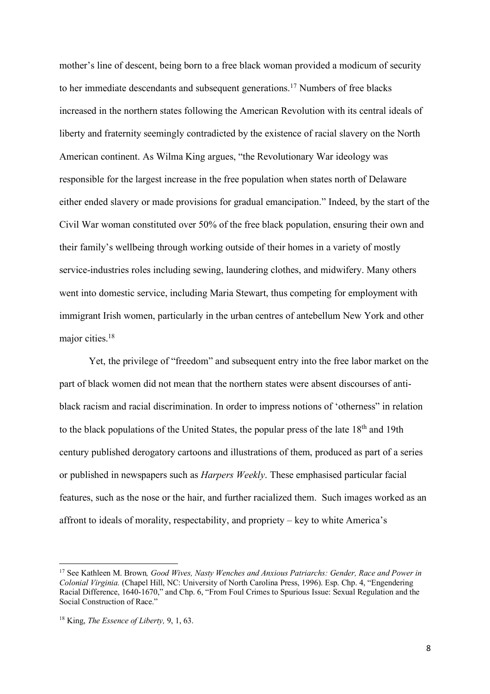mother's line of descent, being born to a free black woman provided a modicum of security to her immediate descendants and subsequent generations.17 Numbers of free blacks increased in the northern states following the American Revolution with its central ideals of liberty and fraternity seemingly contradicted by the existence of racial slavery on the North American continent. As Wilma King argues, "the Revolutionary War ideology was responsible for the largest increase in the free population when states north of Delaware either ended slavery or made provisions for gradual emancipation." Indeed, by the start of the Civil War woman constituted over 50% of the free black population, ensuring their own and their family's wellbeing through working outside of their homes in a variety of mostly service-industries roles including sewing, laundering clothes, and midwifery. Many others went into domestic service, including Maria Stewart, thus competing for employment with immigrant Irish women, particularly in the urban centres of antebellum New York and other major cities.<sup>18</sup>

Yet, the privilege of "freedom" and subsequent entry into the free labor market on the part of black women did not mean that the northern states were absent discourses of antiblack racism and racial discrimination. In order to impress notions of 'otherness" in relation to the black populations of the United States, the popular press of the late 18th and 19th century published derogatory cartoons and illustrations of them, produced as part of a series or published in newspapers such as *Harpers Weekly*. These emphasised particular facial features, such as the nose or the hair, and further racialized them. Such images worked as an affront to ideals of morality, respectability, and propriety – key to white America's

 <sup>17</sup> See Kathleen M. Brown*, Good Wives, Nasty Wenches and Anxious Patriarchs: Gender, Race and Power in Colonial Virginia.* (Chapel Hill, NC: University of North Carolina Press, 1996). Esp. Chp. 4, "Engendering Racial Difference, 1640-1670," and Chp. 6, "From Foul Crimes to Spurious Issue: Sexual Regulation and the Social Construction of Race."

<sup>18</sup> King, *The Essence of Liberty,* 9, 1, 63.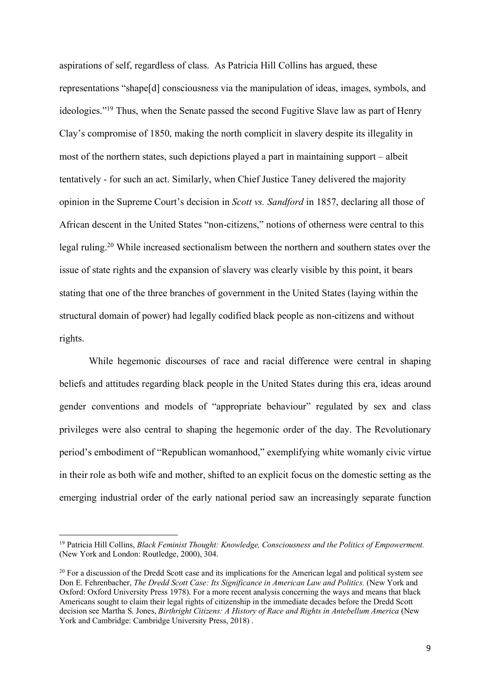aspirations of self, regardless of class. As Patricia Hill Collins has argued, these representations "shape[d] consciousness via the manipulation of ideas, images, symbols, and ideologies."19 Thus, when the Senate passed the second Fugitive Slave law as part of Henry Clay's compromise of 1850, making the north complicit in slavery despite its illegality in most of the northern states, such depictions played a part in maintaining support – albeit tentatively - for such an act. Similarly, when Chief Justice Taney delivered the majority opinion in the Supreme Court's decision in *Scott vs. Sandford* in 1857, declaring all those of African descent in the United States "non-citizens," notions of otherness were central to this legal ruling. <sup>20</sup> While increased sectionalism between the northern and southern states over the issue of state rights and the expansion of slavery was clearly visible by this point, it bears stating that one of the three branches of government in the United States (laying within the structural domain of power) had legally codified black people as non-citizens and without rights.

While hegemonic discourses of race and racial difference were central in shaping beliefs and attitudes regarding black people in the United States during this era, ideas around gender conventions and models of "appropriate behaviour" regulated by sex and class privileges were also central to shaping the hegemonic order of the day. The Revolutionary period's embodiment of "Republican womanhood," exemplifying white womanly civic virtue in their role as both wife and mother, shifted to an explicit focus on the domestic setting as the emerging industrial order of the early national period saw an increasingly separate function

 <sup>19</sup> Patricia Hill Collins, *Black Feminist Thought: Knowledge, Consciousness and the Politics of Empowerment.*  (New York and London: Routledge, 2000), 304.

 $20$  For a discussion of the Dredd Scott case and its implications for the American legal and political system see Don E. Fehrenbacher, *The Dredd Scott Case: Its Significance in American Law and Politics.* (New York and Oxford: Oxford University Press 1978). For a more recent analysis concerning the ways and means that black Americans sought to claim their legal rights of citizenship in the immediate decades before the Dredd Scott decision see Martha S. Jones, *Birthright Citizens: A History of Race and Rights in Antebellum America* (New York and Cambridge: Cambridge University Press, 2018) .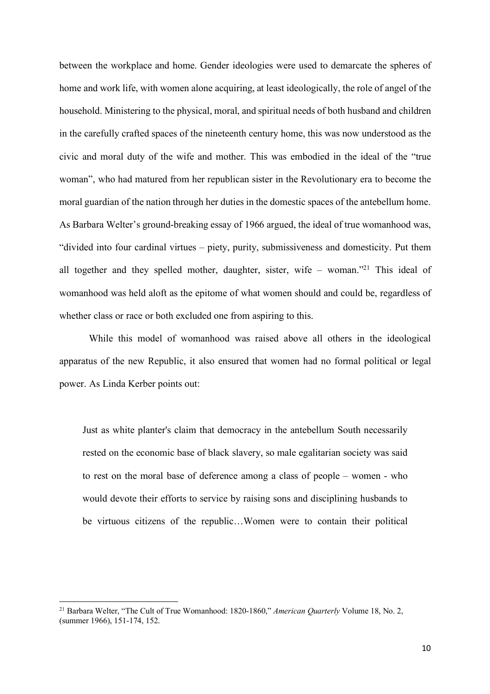between the workplace and home. Gender ideologies were used to demarcate the spheres of home and work life, with women alone acquiring, at least ideologically, the role of angel of the household. Ministering to the physical, moral, and spiritual needs of both husband and children in the carefully crafted spaces of the nineteenth century home, this was now understood as the civic and moral duty of the wife and mother. This was embodied in the ideal of the "true woman", who had matured from her republican sister in the Revolutionary era to become the moral guardian of the nation through her duties in the domestic spaces of the antebellum home. As Barbara Welter's ground-breaking essay of 1966 argued, the ideal of true womanhood was, "divided into four cardinal virtues – piety, purity, submissiveness and domesticity. Put them all together and they spelled mother, daughter, sister, wife – woman.<sup>"21</sup> This ideal of womanhood was held aloft as the epitome of what women should and could be, regardless of whether class or race or both excluded one from aspiring to this.

While this model of womanhood was raised above all others in the ideological apparatus of the new Republic, it also ensured that women had no formal political or legal power. As Linda Kerber points out:

Just as white planter's claim that democracy in the antebellum South necessarily rested on the economic base of black slavery, so male egalitarian society was said to rest on the moral base of deference among a class of people – women - who would devote their efforts to service by raising sons and disciplining husbands to be virtuous citizens of the republic…Women were to contain their political

<sup>&</sup>lt;sup>21</sup> Barbara Welter, "The Cult of True Womanhood: 1820-1860," American Quarterly Volume 18, No. 2, (summer 1966), 151-174, 152.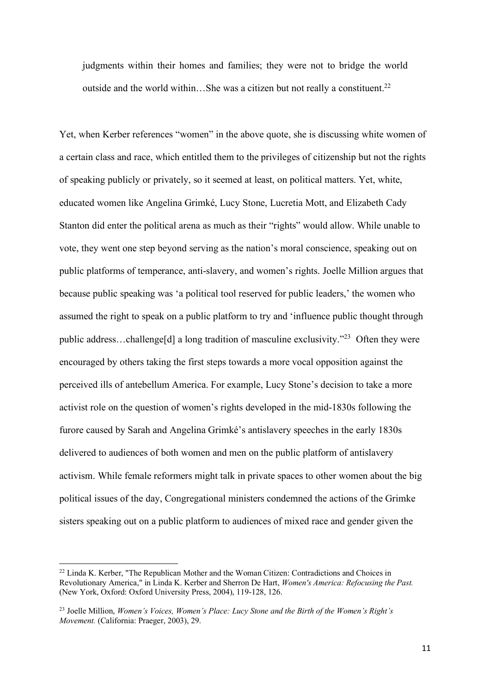judgments within their homes and families; they were not to bridge the world outside and the world within...She was a citizen but not really a constituent.<sup>22</sup>

Yet, when Kerber references "women" in the above quote, she is discussing white women of a certain class and race, which entitled them to the privileges of citizenship but not the rights of speaking publicly or privately, so it seemed at least, on political matters. Yet, white, educated women like Angelina Grimké, Lucy Stone, Lucretia Mott, and Elizabeth Cady Stanton did enter the political arena as much as their "rights" would allow. While unable to vote, they went one step beyond serving as the nation's moral conscience, speaking out on public platforms of temperance, anti-slavery, and women's rights. Joelle Million argues that because public speaking was 'a political tool reserved for public leaders,' the women who assumed the right to speak on a public platform to try and 'influence public thought through public address…challenge[d] a long tradition of masculine exclusivity."23 Often they were encouraged by others taking the first steps towards a more vocal opposition against the perceived ills of antebellum America. For example, Lucy Stone's decision to take a more activist role on the question of women's rights developed in the mid-1830s following the furore caused by Sarah and Angelina Grimké's antislavery speeches in the early 1830s delivered to audiences of both women and men on the public platform of antislavery activism. While female reformers might talk in private spaces to other women about the big political issues of the day, Congregational ministers condemned the actions of the Grimke sisters speaking out on a public platform to audiences of mixed race and gender given the

 $22$  Linda K. Kerber, "The Republican Mother and the Woman Citizen: Contradictions and Choices in Revolutionary America," in Linda K. Kerber and Sherron De Hart, *Women's America: Refocusing the Past.*  (New York, Oxford: Oxford University Press, 2004), 119-128, 126.

<sup>23</sup> Joelle Million, *Women's Voices, Women's Place: Lucy Stone and the Birth of the Women's Right's Movement.* (California: Praeger, 2003), 29.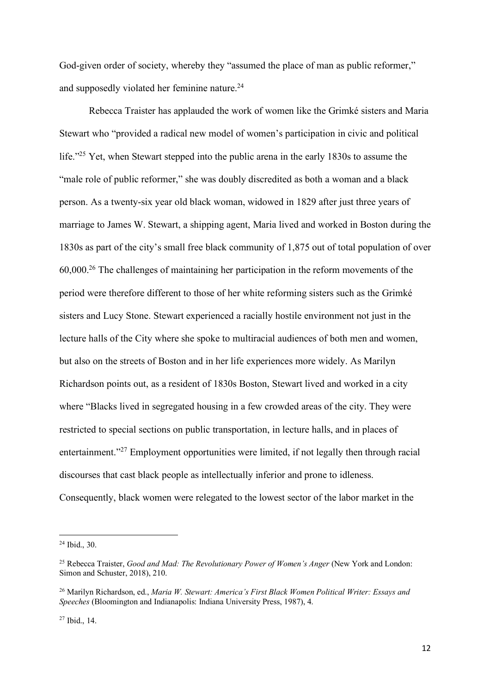God-given order of society, whereby they "assumed the place of man as public reformer," and supposedly violated her feminine nature.24

Rebecca Traister has applauded the work of women like the Grimké sisters and Maria Stewart who "provided a radical new model of women's participation in civic and political life."25 Yet, when Stewart stepped into the public arena in the early 1830s to assume the "male role of public reformer," she was doubly discredited as both a woman and a black person. As a twenty-six year old black woman, widowed in 1829 after just three years of marriage to James W. Stewart, a shipping agent, Maria lived and worked in Boston during the 1830s as part of the city's small free black community of 1,875 out of total population of over 60,000. <sup>26</sup> The challenges of maintaining her participation in the reform movements of the period were therefore different to those of her white reforming sisters such as the Grimké sisters and Lucy Stone. Stewart experienced a racially hostile environment not just in the lecture halls of the City where she spoke to multiracial audiences of both men and women, but also on the streets of Boston and in her life experiences more widely. As Marilyn Richardson points out, as a resident of 1830s Boston, Stewart lived and worked in a city where "Blacks lived in segregated housing in a few crowded areas of the city. They were restricted to special sections on public transportation, in lecture halls, and in places of entertainment."27 Employment opportunities were limited, if not legally then through racial discourses that cast black people as intellectually inferior and prone to idleness. Consequently, black women were relegated to the lowest sector of the labor market in the

 <sup>24</sup> Ibid., 30.

<sup>25</sup> Rebecca Traister, *Good and Mad: The Revolutionary Power of Women's Anger* (New York and London: Simon and Schuster, 2018), 210.

<sup>26</sup> Marilyn Richardson, ed., *Maria W. Stewart: America's First Black Women Political Writer: Essays and Speeches* (Bloomington and Indianapolis: Indiana University Press, 1987), 4.

<sup>27</sup> Ibid., 14.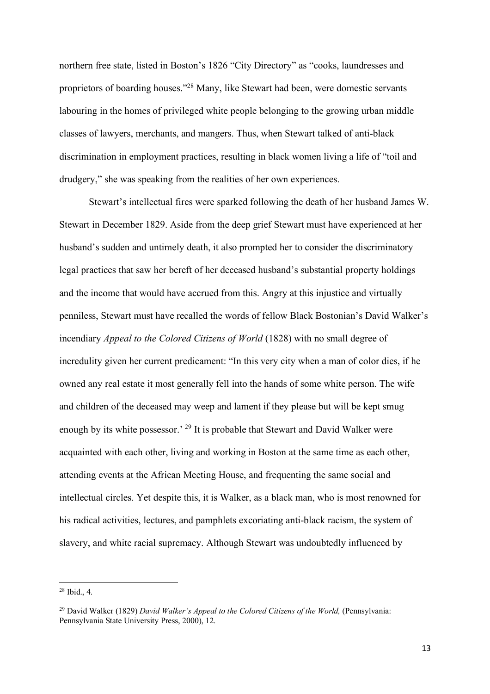northern free state, listed in Boston's 1826 "City Directory" as "cooks, laundresses and proprietors of boarding houses."28 Many, like Stewart had been, were domestic servants labouring in the homes of privileged white people belonging to the growing urban middle classes of lawyers, merchants, and mangers. Thus, when Stewart talked of anti-black discrimination in employment practices, resulting in black women living a life of "toil and drudgery," she was speaking from the realities of her own experiences.

Stewart's intellectual fires were sparked following the death of her husband James W. Stewart in December 1829. Aside from the deep grief Stewart must have experienced at her husband's sudden and untimely death, it also prompted her to consider the discriminatory legal practices that saw her bereft of her deceased husband's substantial property holdings and the income that would have accrued from this. Angry at this injustice and virtually penniless, Stewart must have recalled the words of fellow Black Bostonian's David Walker's incendiary *Appeal to the Colored Citizens of World* (1828) with no small degree of incredulity given her current predicament: "In this very city when a man of color dies, if he owned any real estate it most generally fell into the hands of some white person. The wife and children of the deceased may weep and lament if they please but will be kept smug enough by its white possessor.' <sup>29</sup> It is probable that Stewart and David Walker were acquainted with each other, living and working in Boston at the same time as each other, attending events at the African Meeting House, and frequenting the same social and intellectual circles. Yet despite this, it is Walker, as a black man, who is most renowned for his radical activities, lectures, and pamphlets excoriating anti-black racism, the system of slavery, and white racial supremacy. Although Stewart was undoubtedly influenced by

 $28$  Ibid., 4.

<sup>29</sup> David Walker (1829) *David Walker's Appeal to the Colored Citizens of the World,* (Pennsylvania: Pennsylvania State University Press, 2000), 12.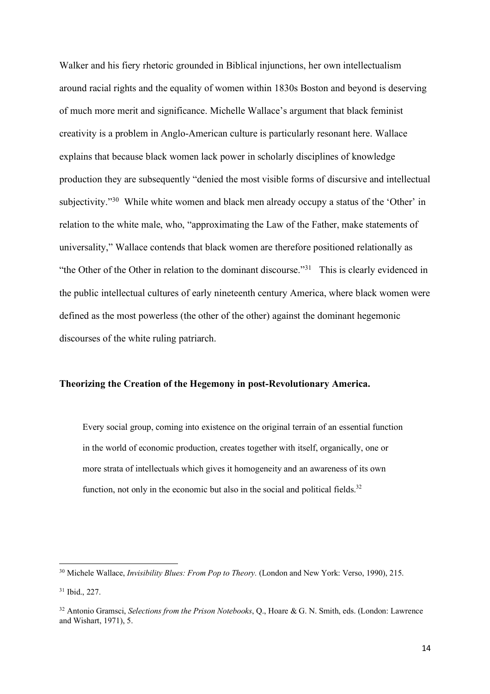Walker and his fiery rhetoric grounded in Biblical injunctions, her own intellectualism around racial rights and the equality of women within 1830s Boston and beyond is deserving of much more merit and significance. Michelle Wallace's argument that black feminist creativity is a problem in Anglo-American culture is particularly resonant here. Wallace explains that because black women lack power in scholarly disciplines of knowledge production they are subsequently "denied the most visible forms of discursive and intellectual subjectivity."30 While white women and black men already occupy a status of the 'Other' in relation to the white male, who, "approximating the Law of the Father, make statements of universality," Wallace contends that black women are therefore positioned relationally as "the Other of the Other in relation to the dominant discourse."<sup>31</sup> This is clearly evidenced in the public intellectual cultures of early nineteenth century America, where black women were defined as the most powerless (the other of the other) against the dominant hegemonic discourses of the white ruling patriarch.

#### **Theorizing the Creation of the Hegemony in post-Revolutionary America.**

Every social group, coming into existence on the original terrain of an essential function in the world of economic production, creates together with itself, organically, one or more strata of intellectuals which gives it homogeneity and an awareness of its own function, not only in the economic but also in the social and political fields.<sup>32</sup>

<sup>&</sup>lt;sup>30</sup> Michele Wallace, *Invisibility Blues: From Pop to Theory*. (London and New York: Verso, 1990), 215.

<sup>31</sup> Ibid., 227.

<sup>32</sup> Antonio Gramsci, *Selections from the Prison Notebooks*, Q., Hoare & G. N. Smith, eds. (London: Lawrence and Wishart, 1971), 5.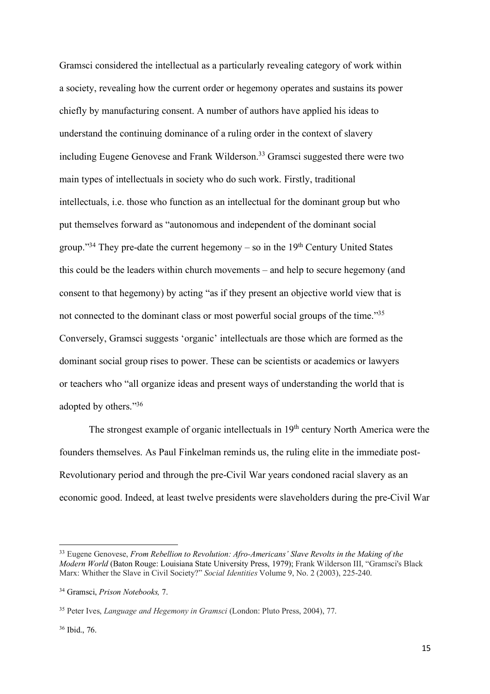Gramsci considered the intellectual as a particularly revealing category of work within a society, revealing how the current order or hegemony operates and sustains its power chiefly by manufacturing consent. A number of authors have applied his ideas to understand the continuing dominance of a ruling order in the context of slavery including Eugene Genovese and Frank Wilderson.<sup>33</sup> Gramsci suggested there were two main types of intellectuals in society who do such work. Firstly, traditional intellectuals, i.e. those who function as an intellectual for the dominant group but who put themselves forward as "autonomous and independent of the dominant social group."<sup>34</sup> They pre-date the current hegemony – so in the  $19<sup>th</sup>$  Century United States this could be the leaders within church movements – and help to secure hegemony (and consent to that hegemony) by acting "as if they present an objective world view that is not connected to the dominant class or most powerful social groups of the time."35 Conversely, Gramsci suggests 'organic' intellectuals are those which are formed as the dominant social group rises to power. These can be scientists or academics or lawyers or teachers who "all organize ideas and present ways of understanding the world that is adopted by others."36

The strongest example of organic intellectuals in 19<sup>th</sup> century North America were the founders themselves. As Paul Finkelman reminds us, the ruling elite in the immediate post-Revolutionary period and through the pre-Civil War years condoned racial slavery as an economic good. Indeed, at least twelve presidents were slaveholders during the pre-Civil War

 <sup>33</sup> Eugene Genovese, *From Rebellion to Revolution: Afro-Americans' Slave Revolts in the Making of the Modern World* (Baton Rouge: Louisiana State University Press, 1979); Frank Wilderson III, "Gramsci's Black Marx: Whither the Slave in Civil Society?" *Social Identities* Volume 9, No. 2 (2003), 225-240.

<sup>34</sup> Gramsci, *Prison Notebooks,* 7.

<sup>35</sup> Peter Ives, *Language and Hegemony in Gramsci* (London: Pluto Press, 2004), 77.

<sup>36</sup> Ibid., 76.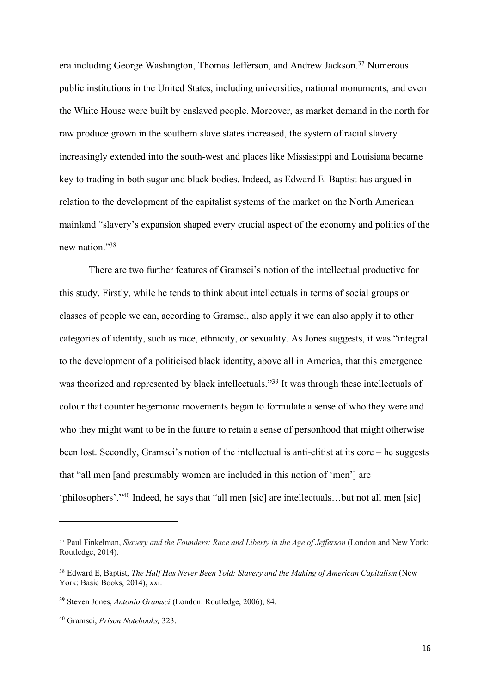era including George Washington, Thomas Jefferson, and Andrew Jackson. <sup>37</sup> Numerous public institutions in the United States, including universities, national monuments, and even the White House were built by enslaved people. Moreover, as market demand in the north for raw produce grown in the southern slave states increased, the system of racial slavery increasingly extended into the south-west and places like Mississippi and Louisiana became key to trading in both sugar and black bodies. Indeed, as Edward E. Baptist has argued in relation to the development of the capitalist systems of the market on the North American mainland "slavery's expansion shaped every crucial aspect of the economy and politics of the new nation."38

There are two further features of Gramsci's notion of the intellectual productive for this study. Firstly, while he tends to think about intellectuals in terms of social groups or classes of people we can, according to Gramsci, also apply it we can also apply it to other categories of identity, such as race, ethnicity, or sexuality. As Jones suggests, it was "integral to the development of a politicised black identity, above all in America, that this emergence was theorized and represented by black intellectuals."<sup>39</sup> It was through these intellectuals of colour that counter hegemonic movements began to formulate a sense of who they were and who they might want to be in the future to retain a sense of personhood that might otherwise been lost. Secondly, Gramsci's notion of the intellectual is anti-elitist at its core – he suggests that "all men [and presumably women are included in this notion of 'men'] are 'philosophers'."40 Indeed, he says that "all men [sic] are intellectuals…but not all men [sic]

 $\overline{a}$ 

<sup>37</sup> Paul Finkelman, *Slavery and the Founders: Race and Liberty in the Age of Jefferson* (London and New York: Routledge, 2014).

<sup>38</sup> Edward E, Baptist, *The Half Has Never Been Told: Slavery and the Making of American Capitalism* (New York: Basic Books, 2014), xxi.

**<sup>39</sup>** Steven Jones, *Antonio Gramsci* (London: Routledge, 2006), 84.

<sup>40</sup> Gramsci, *Prison Notebooks,* 323.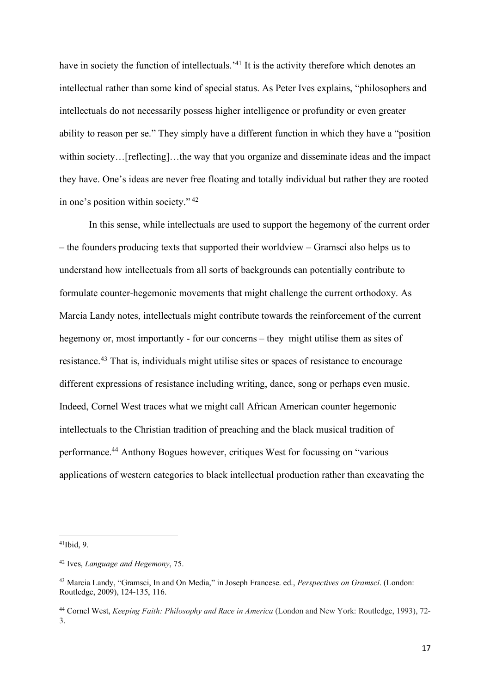have in society the function of intellectuals.<sup>141</sup> It is the activity therefore which denotes an intellectual rather than some kind of special status. As Peter Ives explains, "philosophers and intellectuals do not necessarily possess higher intelligence or profundity or even greater ability to reason per se." They simply have a different function in which they have a "position within society…[reflecting]…the way that you organize and disseminate ideas and the impact they have. One's ideas are never free floating and totally individual but rather they are rooted in one's position within society." <sup>42</sup>

In this sense, while intellectuals are used to support the hegemony of the current order – the founders producing texts that supported their worldview – Gramsci also helps us to understand how intellectuals from all sorts of backgrounds can potentially contribute to formulate counter-hegemonic movements that might challenge the current orthodoxy. As Marcia Landy notes, intellectuals might contribute towards the reinforcement of the current hegemony or, most importantly - for our concerns – they might utilise them as sites of resistance.<sup>43</sup> That is, individuals might utilise sites or spaces of resistance to encourage different expressions of resistance including writing, dance, song or perhaps even music. Indeed, Cornel West traces what we might call African American counter hegemonic intellectuals to the Christian tradition of preaching and the black musical tradition of performance.44 Anthony Bogues however, critiques West for focussing on "various applications of western categories to black intellectual production rather than excavating the

 $41$ Ibid, 9.

<sup>42</sup> Ives, *Language and Hegemony*, 75.

<sup>43</sup> Marcia Landy, "Gramsci, In and On Media," in Joseph Francese. ed., *Perspectives on Gramsci*. (London: Routledge, 2009), 124-135, 116.

<sup>44</sup> Cornel West, *Keeping Faith: Philosophy and Race in America* (London and New York: Routledge, 1993), 72- 3.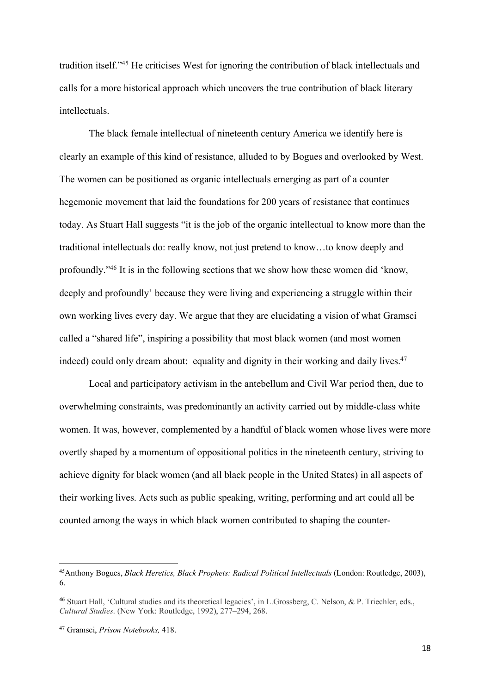tradition itself."45 He criticises West for ignoring the contribution of black intellectuals and calls for a more historical approach which uncovers the true contribution of black literary intellectuals.

The black female intellectual of nineteenth century America we identify here is clearly an example of this kind of resistance, alluded to by Bogues and overlooked by West. The women can be positioned as organic intellectuals emerging as part of a counter hegemonic movement that laid the foundations for 200 years of resistance that continues today. As Stuart Hall suggests "it is the job of the organic intellectual to know more than the traditional intellectuals do: really know, not just pretend to know…to know deeply and profoundly."46 It is in the following sections that we show how these women did 'know, deeply and profoundly' because they were living and experiencing a struggle within their own working lives every day. We argue that they are elucidating a vision of what Gramsci called a "shared life", inspiring a possibility that most black women (and most women indeed) could only dream about: equality and dignity in their working and daily lives.<sup>47</sup>

Local and participatory activism in the antebellum and Civil War period then, due to overwhelming constraints, was predominantly an activity carried out by middle-class white women. It was, however, complemented by a handful of black women whose lives were more overtly shaped by a momentum of oppositional politics in the nineteenth century, striving to achieve dignity for black women (and all black people in the United States) in all aspects of their working lives. Acts such as public speaking, writing, performing and art could all be counted among the ways in which black women contributed to shaping the counter-

 <sup>45</sup>Anthony Bogues, *Black Heretics, Black Prophets: Radical Political Intellectuals* (London: Routledge, 2003), 6.

**<sup>46</sup>** Stuart Hall, 'Cultural studies and its theoretical legacies', in L.Grossberg, C. Nelson, & P. Triechler, eds., *Cultural Studies*. (New York: Routledge, 1992), 277–294, 268.

<sup>47</sup> Gramsci, *Prison Notebooks,* 418.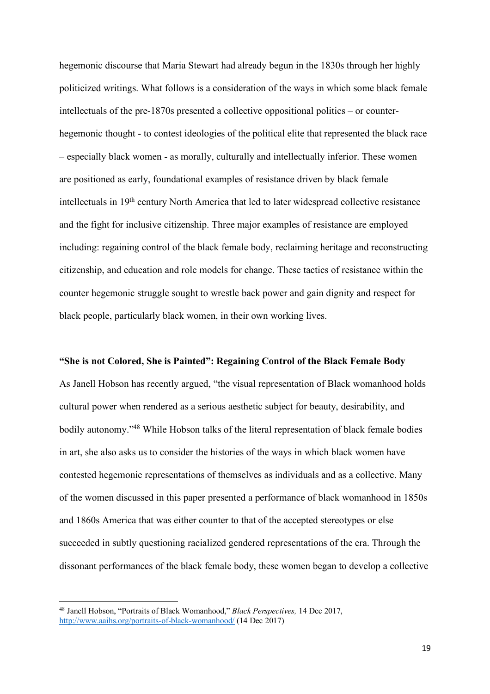hegemonic discourse that Maria Stewart had already begun in the 1830s through her highly politicized writings. What follows is a consideration of the ways in which some black female intellectuals of the pre-1870s presented a collective oppositional politics – or counterhegemonic thought - to contest ideologies of the political elite that represented the black race – especially black women - as morally, culturally and intellectually inferior. These women are positioned as early, foundational examples of resistance driven by black female intellectuals in 19th century North America that led to later widespread collective resistance and the fight for inclusive citizenship. Three major examples of resistance are employed including: regaining control of the black female body, reclaiming heritage and reconstructing citizenship, and education and role models for change. These tactics of resistance within the counter hegemonic struggle sought to wrestle back power and gain dignity and respect for black people, particularly black women, in their own working lives.

#### **"She is not Colored, She is Painted": Regaining Control of the Black Female Body**

As Janell Hobson has recently argued, "the visual representation of Black womanhood holds cultural power when rendered as a serious aesthetic subject for beauty, desirability, and bodily autonomy."<sup>48</sup> While Hobson talks of the literal representation of black female bodies in art, she also asks us to consider the histories of the ways in which black women have contested hegemonic representations of themselves as individuals and as a collective. Many of the women discussed in this paper presented a performance of black womanhood in 1850s and 1860s America that was either counter to that of the accepted stereotypes or else succeeded in subtly questioning racialized gendered representations of the era. Through the dissonant performances of the black female body, these women began to develop a collective

 <sup>48</sup> Janell Hobson, "Portraits of Black Womanhood," *Black Perspectives,* 14 Dec 2017, http://www.aaihs.org/portraits-of-black-womanhood/ (14 Dec 2017)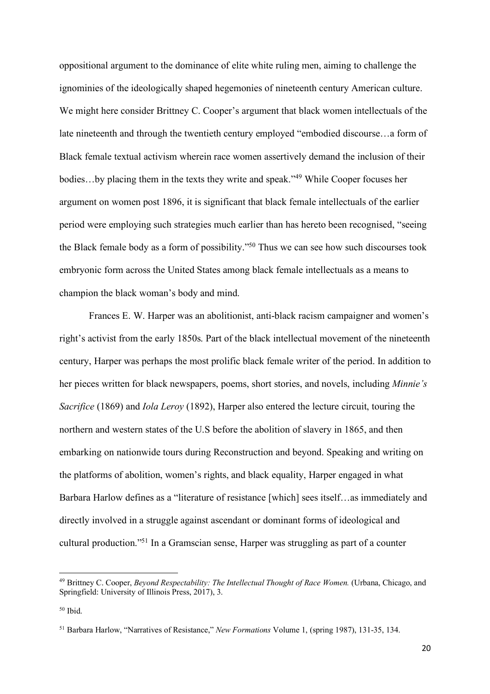oppositional argument to the dominance of elite white ruling men, aiming to challenge the ignominies of the ideologically shaped hegemonies of nineteenth century American culture. We might here consider Brittney C. Cooper's argument that black women intellectuals of the late nineteenth and through the twentieth century employed "embodied discourse…a form of Black female textual activism wherein race women assertively demand the inclusion of their bodies...by placing them in the texts they write and speak."<sup>49</sup> While Cooper focuses her argument on women post 1896, it is significant that black female intellectuals of the earlier period were employing such strategies much earlier than has hereto been recognised, "seeing the Black female body as a form of possibility."50 Thus we can see how such discourses took embryonic form across the United States among black female intellectuals as a means to champion the black woman's body and mind.

Frances E. W. Harper was an abolitionist, anti-black racism campaigner and women's right's activist from the early 1850s. Part of the black intellectual movement of the nineteenth century, Harper was perhaps the most prolific black female writer of the period. In addition to her pieces written for black newspapers, poems, short stories, and novels, including *Minnie's Sacrifice* (1869) and *Iola Leroy* (1892), Harper also entered the lecture circuit, touring the northern and western states of the U.S before the abolition of slavery in 1865, and then embarking on nationwide tours during Reconstruction and beyond. Speaking and writing on the platforms of abolition, women's rights, and black equality, Harper engaged in what Barbara Harlow defines as a "literature of resistance [which] sees itself…as immediately and directly involved in a struggle against ascendant or dominant forms of ideological and cultural production."51 In a Gramscian sense, Harper was struggling as part of a counter

 <sup>49</sup> Brittney C. Cooper, *Beyond Respectability: The Intellectual Thought of Race Women.* (Urbana, Chicago, and Springfield: University of Illinois Press, 2017), 3.

 $50$  Ibid.

<sup>51</sup> Barbara Harlow, "Narratives of Resistance," *New Formations* Volume 1, (spring 1987), 131-35, 134.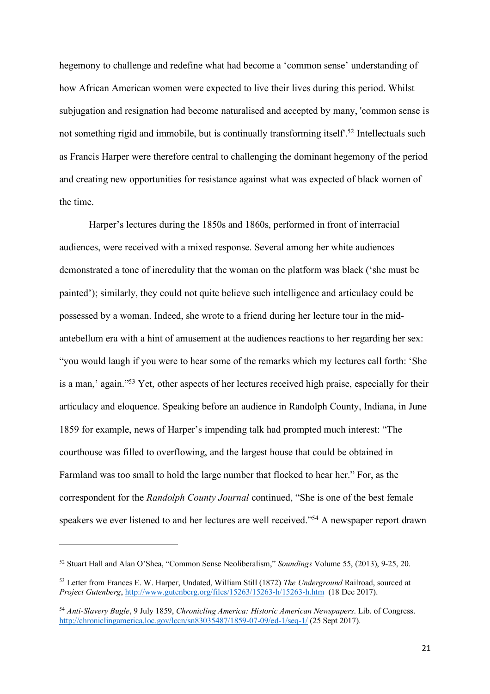hegemony to challenge and redefine what had become a 'common sense' understanding of how African American women were expected to live their lives during this period. Whilst subjugation and resignation had become naturalised and accepted by many, 'common sense is not something rigid and immobile, but is continually transforming itself<sup>52</sup> Intellectuals such as Francis Harper were therefore central to challenging the dominant hegemony of the period and creating new opportunities for resistance against what was expected of black women of the time.

Harper's lectures during the 1850s and 1860s, performed in front of interracial audiences, were received with a mixed response. Several among her white audiences demonstrated a tone of incredulity that the woman on the platform was black ('she must be painted'); similarly, they could not quite believe such intelligence and articulacy could be possessed by a woman. Indeed, she wrote to a friend during her lecture tour in the midantebellum era with a hint of amusement at the audiences reactions to her regarding her sex: "you would laugh if you were to hear some of the remarks which my lectures call forth: 'She is a man,' again."53 Yet, other aspects of her lectures received high praise, especially for their articulacy and eloquence. Speaking before an audience in Randolph County, Indiana, in June 1859 for example, news of Harper's impending talk had prompted much interest: "The courthouse was filled to overflowing, and the largest house that could be obtained in Farmland was too small to hold the large number that flocked to hear her." For, as the correspondent for the *Randolph County Journal* continued, "She is one of the best female speakers we ever listened to and her lectures are well received."<sup>54</sup> A newspaper report drawn

 $\overline{a}$ 

<sup>52</sup> Stuart Hall and Alan O'Shea, "Common Sense Neoliberalism," *Soundings* Volume 55, (2013), 9-25, 20.

<sup>53</sup> Letter from Frances E. W. Harper, Undated, William Still (1872) *The Underground* Railroad, sourced at *Project Gutenberg*, http://www.gutenberg.org/files/15263/15263-h/15263-h.htm (18 Dec 2017).

<sup>54</sup> *Anti-Slavery Bugle*, 9 July 1859, *Chronicling America: Historic American Newspapers*. Lib. of Congress. http://chroniclingamerica.loc.gov/lccn/sn83035487/1859-07-09/ed-1/seq-1/ (25 Sept 2017).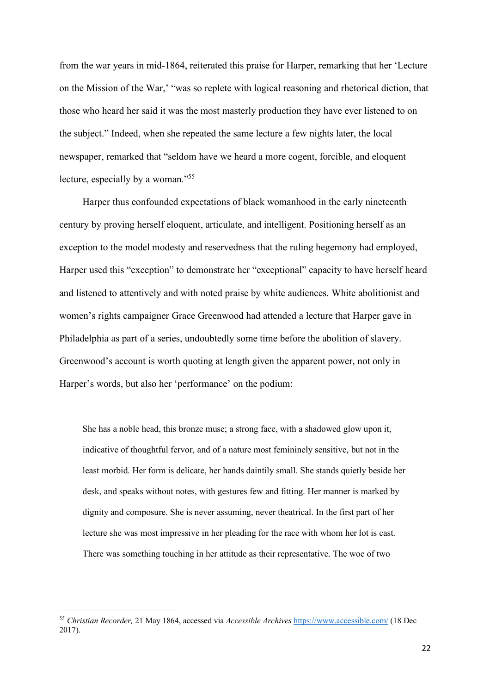from the war years in mid-1864, reiterated this praise for Harper, remarking that her 'Lecture on the Mission of the War,' "was so replete with logical reasoning and rhetorical diction, that those who heard her said it was the most masterly production they have ever listened to on the subject." Indeed, when she repeated the same lecture a few nights later, the local newspaper, remarked that "seldom have we heard a more cogent, forcible, and eloquent lecture, especially by a woman."<sup>55</sup>

Harper thus confounded expectations of black womanhood in the early nineteenth century by proving herself eloquent, articulate, and intelligent. Positioning herself as an exception to the model modesty and reservedness that the ruling hegemony had employed, Harper used this "exception" to demonstrate her "exceptional" capacity to have herself heard and listened to attentively and with noted praise by white audiences. White abolitionist and women's rights campaigner Grace Greenwood had attended a lecture that Harper gave in Philadelphia as part of a series, undoubtedly some time before the abolition of slavery. Greenwood's account is worth quoting at length given the apparent power, not only in Harper's words, but also her 'performance' on the podium:

She has a noble head, this bronze muse; a strong face, with a shadowed glow upon it, indicative of thoughtful fervor, and of a nature most femininely sensitive, but not in the least morbid. Her form is delicate, her hands daintily small. She stands quietly beside her desk, and speaks without notes, with gestures few and fitting. Her manner is marked by dignity and composure. She is never assuming, never theatrical. In the first part of her lecture she was most impressive in her pleading for the race with whom her lot is cast. There was something touching in her attitude as their representative. The woe of two

 <sup>55</sup> *Christian Recorder,* 21 May 1864, accessed via *Accessible Archives* https://www.accessible.com/ (18 Dec 2017).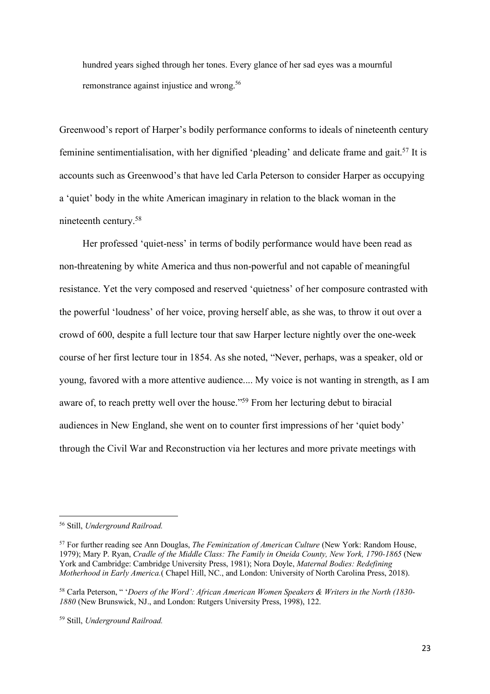hundred years sighed through her tones. Every glance of her sad eyes was a mournful remonstrance against injustice and wrong. 56

Greenwood's report of Harper's bodily performance conforms to ideals of nineteenth century feminine sentimentialisation, with her dignified 'pleading' and delicate frame and gait.<sup>57</sup> It is accounts such as Greenwood's that have led Carla Peterson to consider Harper as occupying a 'quiet' body in the white American imaginary in relation to the black woman in the nineteenth century.58

Her professed 'quiet-ness' in terms of bodily performance would have been read as non-threatening by white America and thus non-powerful and not capable of meaningful resistance. Yet the very composed and reserved 'quietness' of her composure contrasted with the powerful 'loudness' of her voice, proving herself able, as she was, to throw it out over a crowd of 600, despite a full lecture tour that saw Harper lecture nightly over the one-week course of her first lecture tour in 1854. As she noted, "Never, perhaps, was a speaker, old or young, favored with a more attentive audience.... My voice is not wanting in strength, as I am aware of, to reach pretty well over the house."59 From her lecturing debut to biracial audiences in New England, she went on to counter first impressions of her 'quiet body' through the Civil War and Reconstruction via her lectures and more private meetings with

 <sup>56</sup> Still, *Underground Railroad.*

<sup>57</sup> For further reading see Ann Douglas, *The Feminization of American Culture* (New York: Random House, 1979); Mary P. Ryan, *Cradle of the Middle Class: The Family in Oneida County, New York, 1790-1865* (New York and Cambridge: Cambridge University Press, 1981); Nora Doyle, *Maternal Bodies: Redefining Motherhood in Early America.*( Chapel Hill, NC., and London: University of North Carolina Press, 2018).

<sup>58</sup> Carla Peterson, " '*Doers of the Word': African American Women Speakers & Writers in the North (1830- 1880* (New Brunswick, NJ., and London: Rutgers University Press, 1998), 122.

<sup>59</sup> Still, *Underground Railroad.*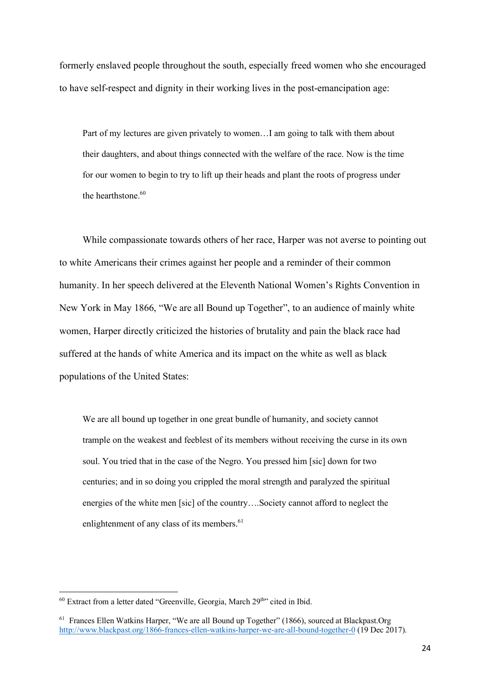formerly enslaved people throughout the south, especially freed women who she encouraged to have self-respect and dignity in their working lives in the post-emancipation age:

Part of my lectures are given privately to women…I am going to talk with them about their daughters, and about things connected with the welfare of the race. Now is the time for our women to begin to try to lift up their heads and plant the roots of progress under the hearthstone. 60

While compassionate towards others of her race, Harper was not averse to pointing out to white Americans their crimes against her people and a reminder of their common humanity. In her speech delivered at the Eleventh National Women's Rights Convention in New York in May 1866, "We are all Bound up Together", to an audience of mainly white women, Harper directly criticized the histories of brutality and pain the black race had suffered at the hands of white America and its impact on the white as well as black populations of the United States:

We are all bound up together in one great bundle of humanity, and society cannot trample on the weakest and feeblest of its members without receiving the curse in its own soul. You tried that in the case of the Negro. You pressed him [sic] down for two centuries; and in so doing you crippled the moral strength and paralyzed the spiritual energies of the white men [sic] of the country….Society cannot afford to neglect the enlightenment of any class of its members.<sup>61</sup>

 $60$  Extract from a letter dated "Greenville, Georgia, March  $29<sup>th</sup>$ " cited in Ibid.

<sup>&</sup>lt;sup>61</sup> Frances Ellen Watkins Harper, "We are all Bound up Together" (1866), sourced at Blackpast.Org http://www.blackpast.org/1866-frances-ellen-watkins-harper-we-are-all-bound-together-0 (19 Dec 2017).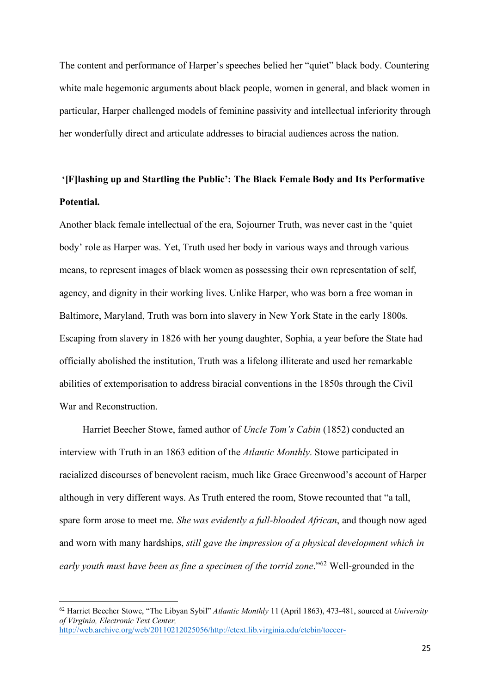The content and performance of Harper's speeches belied her "quiet" black body. Countering white male hegemonic arguments about black people, women in general, and black women in particular, Harper challenged models of feminine passivity and intellectual inferiority through her wonderfully direct and articulate addresses to biracial audiences across the nation.

## **'[F]lashing up and Startling the Public': The Black Female Body and Its Performative Potential.**

Another black female intellectual of the era, Sojourner Truth, was never cast in the 'quiet body' role as Harper was. Yet, Truth used her body in various ways and through various means, to represent images of black women as possessing their own representation of self, agency, and dignity in their working lives. Unlike Harper, who was born a free woman in Baltimore, Maryland, Truth was born into slavery in New York State in the early 1800s. Escaping from slavery in 1826 with her young daughter, Sophia, a year before the State had officially abolished the institution, Truth was a lifelong illiterate and used her remarkable abilities of extemporisation to address biracial conventions in the 1850s through the Civil War and Reconstruction.

Harriet Beecher Stowe, famed author of *Uncle Tom's Cabin* (1852) conducted an interview with Truth in an 1863 edition of the *Atlantic Monthly*. Stowe participated in racialized discourses of benevolent racism, much like Grace Greenwood's account of Harper although in very different ways. As Truth entered the room, Stowe recounted that "a tall, spare form arose to meet me. *She was evidently a full-blooded African*, and though now aged and worn with many hardships, *still gave the impression of a physical development which in early youth must have been as fine a specimen of the torrid zone*."62 Well-grounded in the

 <sup>62</sup> Harriet Beecher Stowe, "The Libyan Sybil" *Atlantic Monthly* 11 (April 1863), 473-481, sourced at *University of Virginia, Electronic Text Center,* http://web.archive.org/web/20110212025056/http://etext.lib.virginia.edu/etcbin/toccer-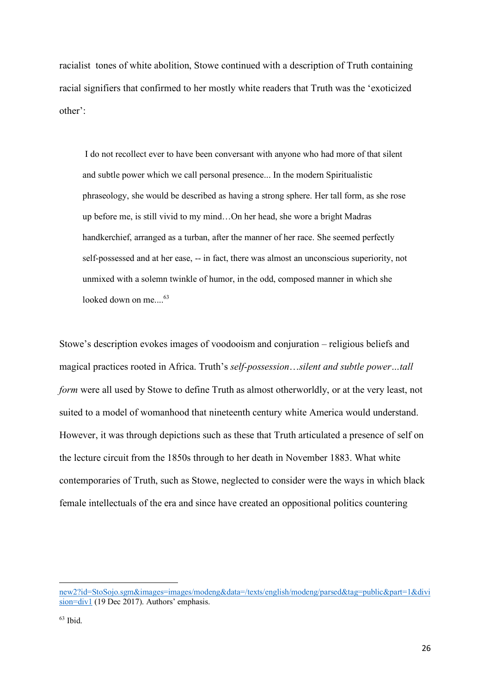racialist tones of white abolition, Stowe continued with a description of Truth containing racial signifiers that confirmed to her mostly white readers that Truth was the 'exoticized other':

I do not recollect ever to have been conversant with anyone who had more of that silent and subtle power which we call personal presence... In the modern Spiritualistic phraseology, she would be described as having a strong sphere. Her tall form, as she rose up before me, is still vivid to my mind…On her head, she wore a bright Madras handkerchief, arranged as a turban, after the manner of her race. She seemed perfectly self-possessed and at her ease, -- in fact, there was almost an unconscious superiority, not unmixed with a solemn twinkle of humor, in the odd, composed manner in which she looked down on me.... 63

Stowe's description evokes images of voodooism and conjuration – religious beliefs and magical practices rooted in Africa. Truth's *self-possession*…*silent and subtle power…tall form* were all used by Stowe to define Truth as almost otherworldly, or at the very least, not suited to a model of womanhood that nineteenth century white America would understand. However, it was through depictions such as these that Truth articulated a presence of self on the lecture circuit from the 1850s through to her death in November 1883. What white contemporaries of Truth, such as Stowe, neglected to consider were the ways in which black female intellectuals of the era and since have created an oppositional politics countering

new2?id=StoSojo.sgm&images=images/modeng&data=/texts/english/modeng/parsed&tag=public&part=1&divi sion=div1 (19 Dec 2017). Authors' emphasis.

 $63$  Ibid.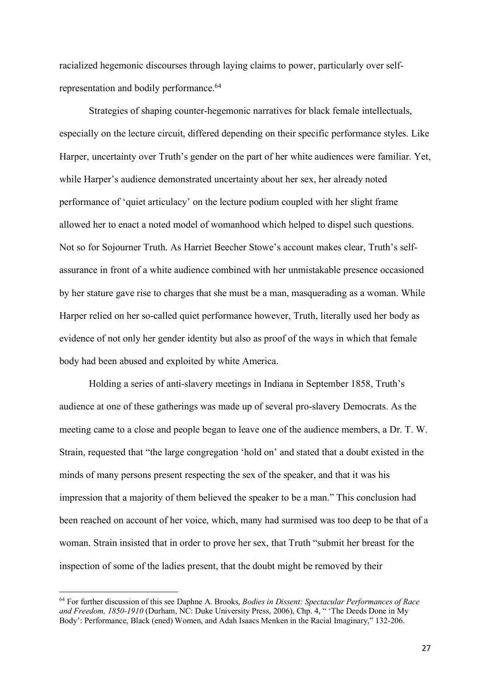racialized hegemonic discourses through laying claims to power, particularly over selfrepresentation and bodily performance. 64

Strategies of shaping counter-hegemonic narratives for black female intellectuals, especially on the lecture circuit, differed depending on their specific performance styles. Like Harper, uncertainty over Truth's gender on the part of her white audiences were familiar. Yet, while Harper's audience demonstrated uncertainty about her sex, her already noted performance of 'quiet articulacy' on the lecture podium coupled with her slight frame allowed her to enact a noted model of womanhood which helped to dispel such questions. Not so for Sojourner Truth. As Harriet Beecher Stowe's account makes clear, Truth's selfassurance in front of a white audience combined with her unmistakable presence occasioned by her stature gave rise to charges that she must be a man, masquerading as a woman. While Harper relied on her so-called quiet performance however, Truth, literally used her body as evidence of not only her gender identity but also as proof of the ways in which that female body had been abused and exploited by white America.

Holding a series of anti-slavery meetings in Indiana in September 1858, Truth's audience at one of these gatherings was made up of several pro-slavery Democrats. As the meeting came to a close and people began to leave one of the audience members, a Dr. T. W. Strain, requested that "the large congregation 'hold on' and stated that a doubt existed in the minds of many persons present respecting the sex of the speaker, and that it was his impression that a majority of them believed the speaker to be a man." This conclusion had been reached on account of her voice, which, many had surmised was too deep to be that of a woman. Strain insisted that in order to prove her sex, that Truth "submit her breast for the inspection of some of the ladies present, that the doubt might be removed by their

 <sup>64</sup> For further discussion of this see Daphne A. Brooks, *Bodies in Dissent: Spectacular Performances of Race and Freedom, 1850-1910* (Durham, NC: Duke University Press, 2006), Chp. 4, " 'The Deeds Done in My Body': Performance, Black (ened) Women, and Adah Isaacs Menken in the Racial Imaginary," 132-206.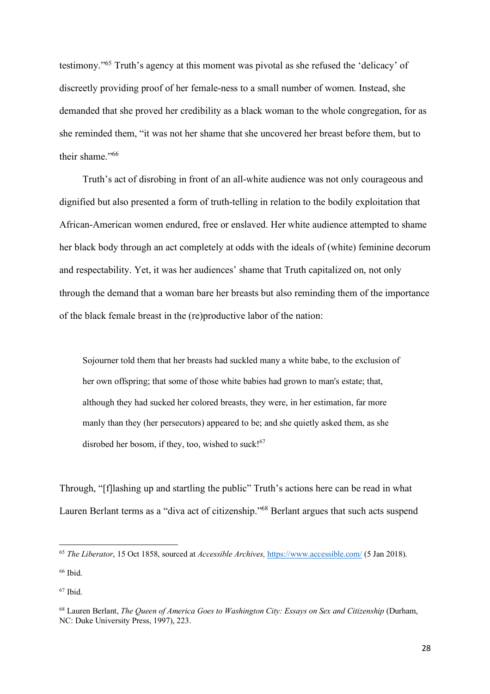testimony."65 Truth's agency at this moment was pivotal as she refused the 'delicacy' of discreetly providing proof of her female-ness to a small number of women. Instead, she demanded that she proved her credibility as a black woman to the whole congregation, for as she reminded them, "it was not her shame that she uncovered her breast before them, but to their shame."<sup>66</sup>

Truth's act of disrobing in front of an all-white audience was not only courageous and dignified but also presented a form of truth-telling in relation to the bodily exploitation that African-American women endured, free or enslaved. Her white audience attempted to shame her black body through an act completely at odds with the ideals of (white) feminine decorum and respectability. Yet, it was her audiences' shame that Truth capitalized on, not only through the demand that a woman bare her breasts but also reminding them of the importance of the black female breast in the (re)productive labor of the nation:

Sojourner told them that her breasts had suckled many a white babe, to the exclusion of her own offspring; that some of those white babies had grown to man's estate; that, although they had sucked her colored breasts, they were, in her estimation, far more manly than they (her persecutors) appeared to be; and she quietly asked them, as she disrobed her bosom, if they, too, wished to suck! $67$ 

Through, "[f]lashing up and startling the public" Truth's actions here can be read in what Lauren Berlant terms as a "diva act of citizenship."68 Berlant argues that such acts suspend

 <sup>65</sup> *The Liberator*, 15 Oct 1858, sourced at *Accessible Archives,* https://www.accessible.com/ (5 Jan 2018).

<sup>66</sup> Ibid.

 $67$  Ibid.

<sup>68</sup> Lauren Berlant, *The Queen of America Goes to Washington City: Essays on Sex and Citizenship* (Durham, NC: Duke University Press, 1997), 223.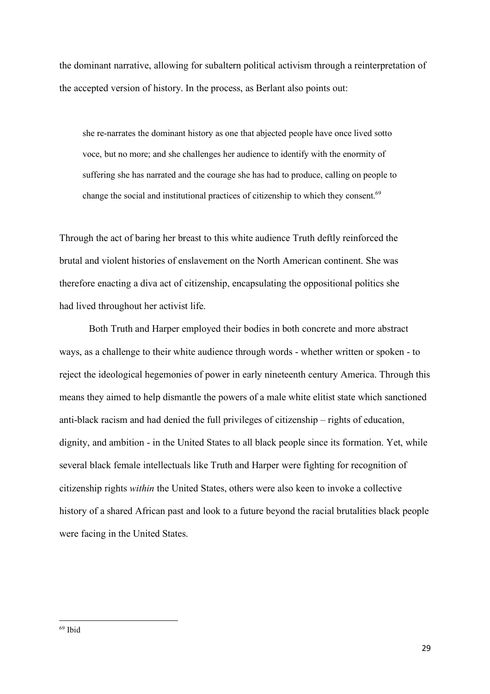the dominant narrative, allowing for subaltern political activism through a reinterpretation of the accepted version of history. In the process, as Berlant also points out:

she re-narrates the dominant history as one that abjected people have once lived sotto voce, but no more; and she challenges her audience to identify with the enormity of suffering she has narrated and the courage she has had to produce, calling on people to change the social and institutional practices of citizenship to which they consent.<sup>69</sup>

Through the act of baring her breast to this white audience Truth deftly reinforced the brutal and violent histories of enslavement on the North American continent. She was therefore enacting a diva act of citizenship, encapsulating the oppositional politics she had lived throughout her activist life.

Both Truth and Harper employed their bodies in both concrete and more abstract ways, as a challenge to their white audience through words - whether written or spoken - to reject the ideological hegemonies of power in early nineteenth century America. Through this means they aimed to help dismantle the powers of a male white elitist state which sanctioned anti-black racism and had denied the full privileges of citizenship – rights of education, dignity, and ambition - in the United States to all black people since its formation. Yet, while several black female intellectuals like Truth and Harper were fighting for recognition of citizenship rights *within* the United States, others were also keen to invoke a collective history of a shared African past and look to a future beyond the racial brutalities black people were facing in the United States.

 <sup>69</sup> Ibid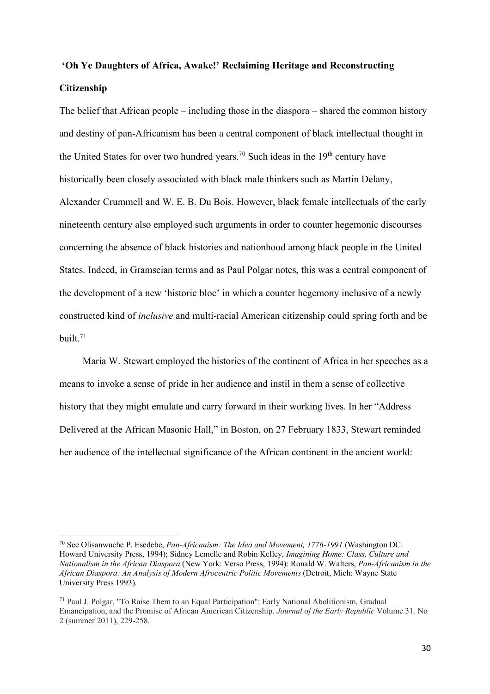## **'Oh Ye Daughters of Africa, Awake!' Reclaiming Heritage and Reconstructing Citizenship**

The belief that African people – including those in the diaspora – shared the common history and destiny of pan-Africanism has been a central component of black intellectual thought in the United States for over two hundred years.<sup>70</sup> Such ideas in the  $19<sup>th</sup>$  century have historically been closely associated with black male thinkers such as Martin Delany, Alexander Crummell and W. E. B. Du Bois. However, black female intellectuals of the early nineteenth century also employed such arguments in order to counter hegemonic discourses concerning the absence of black histories and nationhood among black people in the United States. Indeed, in Gramscian terms and as Paul Polgar notes, this was a central component of the development of a new 'historic bloc' in which a counter hegemony inclusive of a newly constructed kind of *inclusive* and multi-racial American citizenship could spring forth and be built. 71

Maria W. Stewart employed the histories of the continent of Africa in her speeches as a means to invoke a sense of pride in her audience and instil in them a sense of collective history that they might emulate and carry forward in their working lives. In her "Address Delivered at the African Masonic Hall," in Boston, on 27 February 1833, Stewart reminded her audience of the intellectual significance of the African continent in the ancient world:

 <sup>70</sup> See Olisanwuche P. Esedebe, *Pan-Africanism: The Idea and Movement, 1776-1991* (Washington DC: Howard University Press, 1994); Sidney Lemelle and Robin Kelley, *Imagining Home: Class, Culture and Nationalism in the African Diaspora* (New York: Verso Press, 1994): Ronald W. Walters, *Pan-Africanism in the African Diaspora: An Analysis of Modern Afrocentric Politic Movements* (Detroit, Mich: Wayne State University Press 1993).

<sup>71</sup> Paul J. Polgar, "To Raise Them to an Equal Participation": Early National Abolitionism, Gradual Emancipation, and the Promise of African American Citizenship. *Journal of the Early Republic* Volume 31*,* No 2 (summer 2011), 229-258.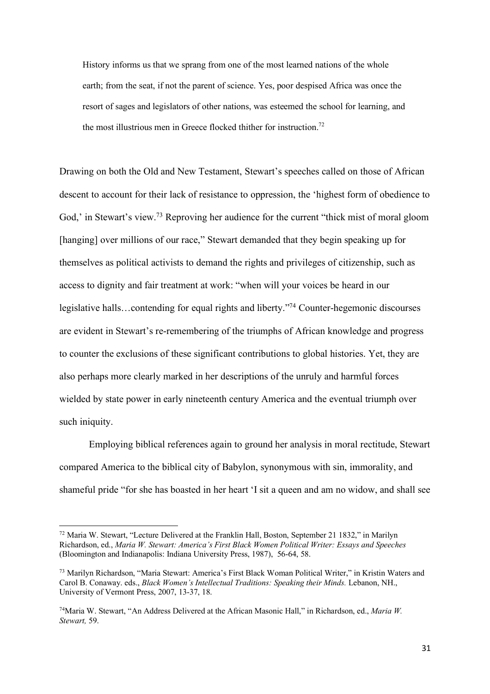History informs us that we sprang from one of the most learned nations of the whole earth; from the seat, if not the parent of science. Yes, poor despised Africa was once the resort of sages and legislators of other nations, was esteemed the school for learning, and the most illustrious men in Greece flocked thither for instruction.<sup>72</sup>

Drawing on both the Old and New Testament, Stewart's speeches called on those of African descent to account for their lack of resistance to oppression, the 'highest form of obedience to God,' in Stewart's view.<sup>73</sup> Reproving her audience for the current "thick mist of moral gloom [hanging] over millions of our race," Stewart demanded that they begin speaking up for themselves as political activists to demand the rights and privileges of citizenship, such as access to dignity and fair treatment at work: "when will your voices be heard in our legislative halls…contending for equal rights and liberty."74 Counter-hegemonic discourses are evident in Stewart's re-remembering of the triumphs of African knowledge and progress to counter the exclusions of these significant contributions to global histories. Yet, they are also perhaps more clearly marked in her descriptions of the unruly and harmful forces wielded by state power in early nineteenth century America and the eventual triumph over such iniquity.

Employing biblical references again to ground her analysis in moral rectitude, Stewart compared America to the biblical city of Babylon, synonymous with sin, immorality, and shameful pride "for she has boasted in her heart 'I sit a queen and am no widow, and shall see

 <sup>72</sup> Maria W. Stewart, "Lecture Delivered at the Franklin Hall, Boston, September 21 1832," in Marilyn Richardson, ed., *Maria W. Stewart: America's First Black Women Political Writer: Essays and Speeches*  (Bloomington and Indianapolis: Indiana University Press, 1987), 56-64, 58.

<sup>73</sup> Marilyn Richardson, "Maria Stewart: America's First Black Woman Political Writer," in Kristin Waters and Carol B. Conaway. eds., *Black Women's Intellectual Traditions: Speaking their Minds.* Lebanon, NH., University of Vermont Press, 2007, 13-37, 18.

<sup>74</sup>Maria W. Stewart, "An Address Delivered at the African Masonic Hall," in Richardson, ed., *Maria W. Stewart,* 59.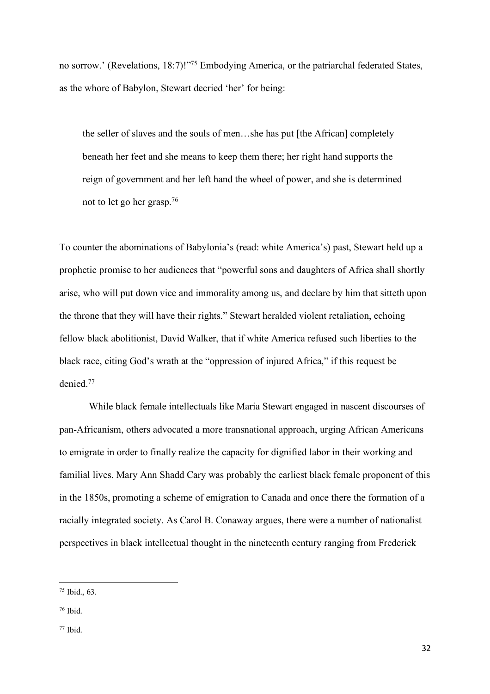no sorrow.' (Revelations, 18:7)!"75 Embodying America, or the patriarchal federated States, as the whore of Babylon, Stewart decried 'her' for being:

the seller of slaves and the souls of men…she has put [the African] completely beneath her feet and she means to keep them there; her right hand supports the reign of government and her left hand the wheel of power, and she is determined not to let go her grasp.76

To counter the abominations of Babylonia's (read: white America's) past, Stewart held up a prophetic promise to her audiences that "powerful sons and daughters of Africa shall shortly arise, who will put down vice and immorality among us, and declare by him that sitteth upon the throne that they will have their rights." Stewart heralded violent retaliation, echoing fellow black abolitionist, David Walker, that if white America refused such liberties to the black race, citing God's wrath at the "oppression of injured Africa," if this request be denied.77

While black female intellectuals like Maria Stewart engaged in nascent discourses of pan-Africanism, others advocated a more transnational approach, urging African Americans to emigrate in order to finally realize the capacity for dignified labor in their working and familial lives. Mary Ann Shadd Cary was probably the earliest black female proponent of this in the 1850s, promoting a scheme of emigration to Canada and once there the formation of a racially integrated society. As Carol B. Conaway argues, there were a number of nationalist perspectives in black intellectual thought in the nineteenth century ranging from Frederick

 $75$  Ibid., 63.

 $76$  Ibid.

 $77$  Ibid.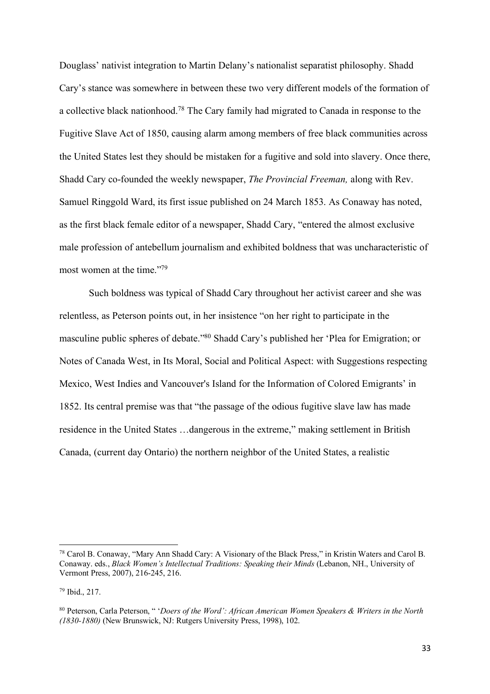Douglass' nativist integration to Martin Delany's nationalist separatist philosophy. Shadd Cary's stance was somewhere in between these two very different models of the formation of a collective black nationhood.78 The Cary family had migrated to Canada in response to the Fugitive Slave Act of 1850, causing alarm among members of free black communities across the United States lest they should be mistaken for a fugitive and sold into slavery. Once there, Shadd Cary co-founded the weekly newspaper, *The Provincial Freeman,* along with Rev. Samuel Ringgold Ward, its first issue published on 24 March 1853. As Conaway has noted, as the first black female editor of a newspaper, Shadd Cary, "entered the almost exclusive male profession of antebellum journalism and exhibited boldness that was uncharacteristic of most women at the time."79

Such boldness was typical of Shadd Cary throughout her activist career and she was relentless, as Peterson points out, in her insistence "on her right to participate in the masculine public spheres of debate."80 Shadd Cary's published her 'Plea for Emigration; or Notes of Canada West, in Its Moral, Social and Political Aspect: with Suggestions respecting Mexico, West Indies and Vancouver's Island for the Information of Colored Emigrants' in 1852. Its central premise was that "the passage of the odious fugitive slave law has made residence in the United States …dangerous in the extreme," making settlement in British Canada, (current day Ontario) the northern neighbor of the United States, a realistic

 <sup>78</sup> Carol B. Conaway, "Mary Ann Shadd Cary: A Visionary of the Black Press," in Kristin Waters and Carol B. Conaway. eds., *Black Women's Intellectual Traditions: Speaking their Minds* (Lebanon, NH., University of Vermont Press, 2007), 216-245, 216.

<sup>79</sup> Ibid., 217.

<sup>80</sup> Peterson, Carla Peterson, " '*Doers of the Word': African American Women Speakers & Writers in the North (1830-1880)* (New Brunswick, NJ: Rutgers University Press, 1998), 102.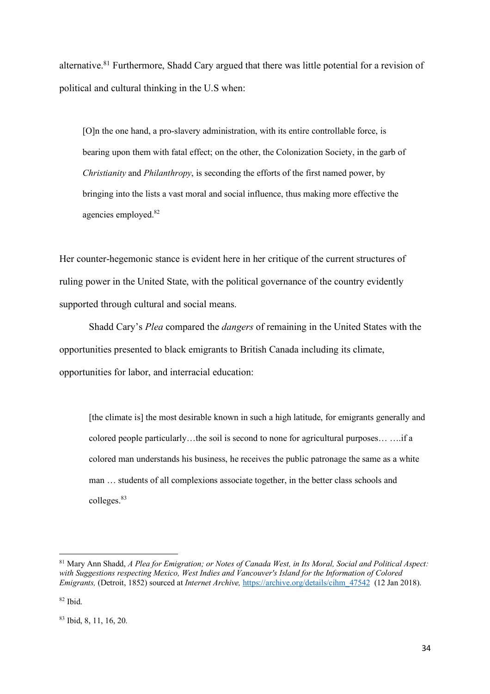alternative.81 Furthermore, Shadd Cary argued that there was little potential for a revision of political and cultural thinking in the U.S when:

[O]n the one hand, a pro-slavery administration, with its entire controllable force, is bearing upon them with fatal effect; on the other, the Colonization Society, in the garb of *Christianity* and *Philanthropy*, is seconding the efforts of the first named power, by bringing into the lists a vast moral and social influence, thus making more effective the agencies employed.<sup>82</sup>

Her counter-hegemonic stance is evident here in her critique of the current structures of ruling power in the United State, with the political governance of the country evidently supported through cultural and social means.

Shadd Cary's *Plea* compared the *dangers* of remaining in the United States with the opportunities presented to black emigrants to British Canada including its climate, opportunities for labor, and interracial education:

[the climate is] the most desirable known in such a high latitude, for emigrants generally and colored people particularly…the soil is second to none for agricultural purposes… ….if a colored man understands his business, he receives the public patronage the same as a white man … students of all complexions associate together, in the better class schools and colleges.<sup>83</sup>

 <sup>81</sup> Mary Ann Shadd, *A Plea for Emigration; or Notes of Canada West, in Its Moral, Social and Political Aspect: with Suggestions respecting Mexico, West Indies and Vancouver's Island for the Information of Colored Emigrants,* (Detroit, 1852) sourced at *Internet Archive,* https://archive.org/details/cihm\_47542 (12 Jan 2018).

 $82$  Ibid.

<sup>83</sup> Ibid, 8, 11, 16, 20.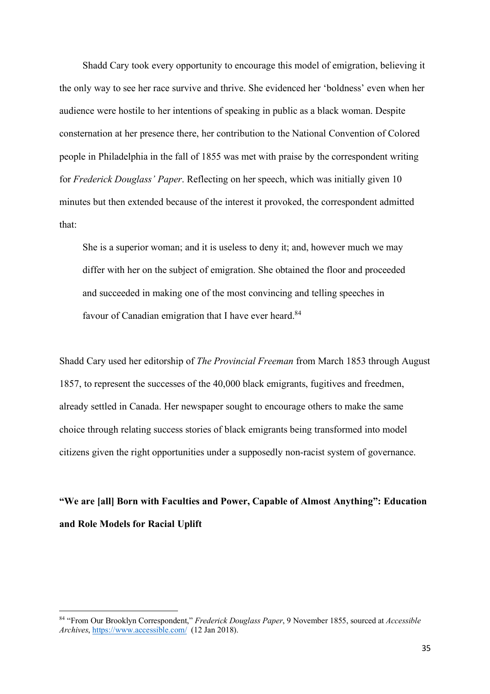Shadd Cary took every opportunity to encourage this model of emigration, believing it the only way to see her race survive and thrive. She evidenced her 'boldness' even when her audience were hostile to her intentions of speaking in public as a black woman. Despite consternation at her presence there, her contribution to the National Convention of Colored people in Philadelphia in the fall of 1855 was met with praise by the correspondent writing for *Frederick Douglass' Paper*. Reflecting on her speech, which was initially given 10 minutes but then extended because of the interest it provoked, the correspondent admitted that:

She is a superior woman; and it is useless to deny it; and, however much we may differ with her on the subject of emigration. She obtained the floor and proceeded and succeeded in making one of the most convincing and telling speeches in favour of Canadian emigration that I have ever heard.<sup>84</sup>

Shadd Cary used her editorship of *The Provincial Freeman* from March 1853 through August 1857, to represent the successes of the 40,000 black emigrants, fugitives and freedmen, already settled in Canada. Her newspaper sought to encourage others to make the same choice through relating success stories of black emigrants being transformed into model citizens given the right opportunities under a supposedly non-racist system of governance.

## **"We are [all] Born with Faculties and Power, Capable of Almost Anything": Education and Role Models for Racial Uplift**

 <sup>84</sup> "From Our Brooklyn Correspondent," *Frederick Douglass Paper*, 9 November 1855, sourced at *Accessible Archives*, https://www.accessible.com/ (12 Jan 2018).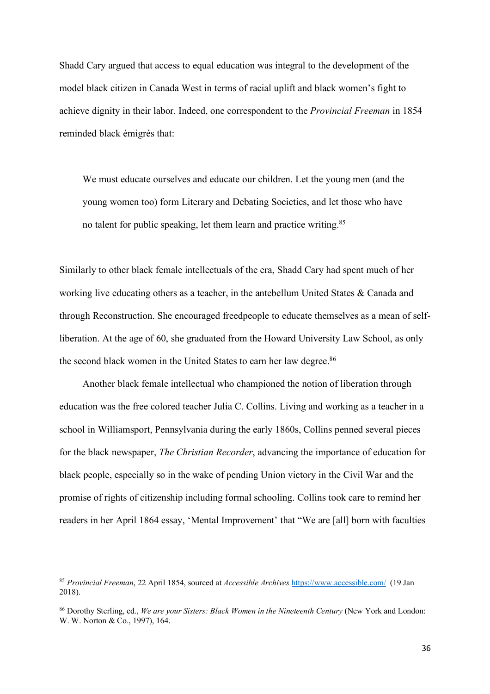Shadd Cary argued that access to equal education was integral to the development of the model black citizen in Canada West in terms of racial uplift and black women's fight to achieve dignity in their labor. Indeed, one correspondent to the *Provincial Freeman* in 1854 reminded black émigrés that:

We must educate ourselves and educate our children. Let the young men (and the young women too) form Literary and Debating Societies, and let those who have no talent for public speaking, let them learn and practice writing.<sup>85</sup>

Similarly to other black female intellectuals of the era, Shadd Cary had spent much of her working live educating others as a teacher, in the antebellum United States & Canada and through Reconstruction. She encouraged freedpeople to educate themselves as a mean of selfliberation. At the age of 60, she graduated from the Howard University Law School, as only the second black women in the United States to earn her law degree.<sup>86</sup>

Another black female intellectual who championed the notion of liberation through education was the free colored teacher Julia C. Collins. Living and working as a teacher in a school in Williamsport, Pennsylvania during the early 1860s, Collins penned several pieces for the black newspaper, *The Christian Recorder*, advancing the importance of education for black people, especially so in the wake of pending Union victory in the Civil War and the promise of rights of citizenship including formal schooling. Collins took care to remind her readers in her April 1864 essay, 'Mental Improvement' that "We are [all] born with faculties

 <sup>85</sup> *Provincial Freeman*, 22 April 1854, sourced at *Accessible Archives* https://www.accessible.com/ (19 Jan 2018).

<sup>86</sup> Dorothy Sterling, ed., *We are your Sisters: Black Women in the Nineteenth Century* (New York and London: W. W. Norton & Co., 1997), 164.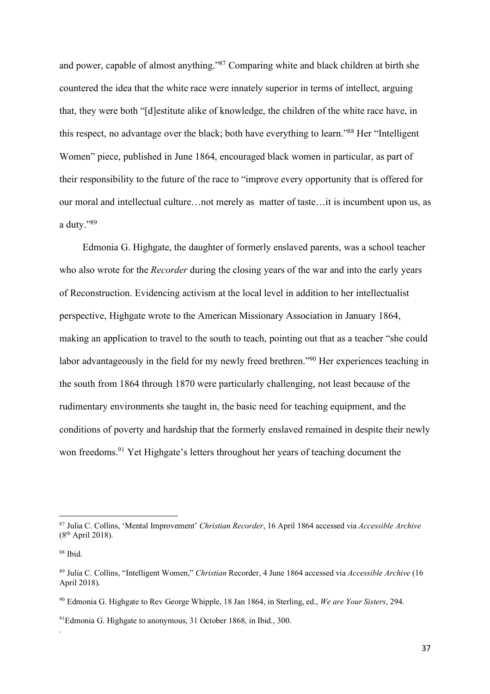and power, capable of almost anything."87 Comparing white and black children at birth she countered the idea that the white race were innately superior in terms of intellect, arguing that, they were both "[d]estitute alike of knowledge, the children of the white race have, in this respect, no advantage over the black; both have everything to learn."88 Her "Intelligent Women" piece, published in June 1864, encouraged black women in particular, as part of their responsibility to the future of the race to "improve every opportunity that is offered for our moral and intellectual culture…not merely as matter of taste…it is incumbent upon us, as a duty."89

Edmonia G. Highgate, the daughter of formerly enslaved parents, was a school teacher who also wrote for the *Recorder* during the closing years of the war and into the early years of Reconstruction. Evidencing activism at the local level in addition to her intellectualist perspective, Highgate wrote to the American Missionary Association in January 1864, making an application to travel to the south to teach, pointing out that as a teacher "she could labor advantageously in the field for my newly freed brethren."<sup>90</sup> Her experiences teaching in the south from 1864 through 1870 were particularly challenging, not least because of the rudimentary environments she taught in, the basic need for teaching equipment, and the conditions of poverty and hardship that the formerly enslaved remained in despite their newly won freedoms.<sup>91</sup> Yet Highgate's letters throughout her years of teaching document the

.

 <sup>87</sup> Julia C. Collins, 'Mental Improvement' *Christian Recorder*, 16 April 1864 accessed via *Accessible Archive* (8th April 2018).

<sup>88</sup> Ibid.

<sup>89</sup> Julia C. Collins, "Intelligent Women," *Christian* Recorder, 4 June 1864 accessed via *Accessible Archive* (16 April 2018).

<sup>90</sup> Edmonia G. Highgate to Rev George Whipple, 18 Jan 1864, in Sterling, ed., *We are Your Sisters*, 294.

<sup>91</sup>Edmonia G. Highgate to anonymous, 31 October 1868, in Ibid., 300.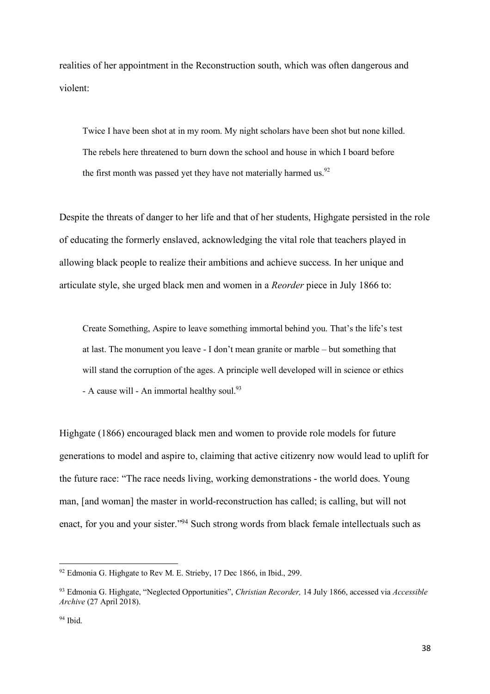realities of her appointment in the Reconstruction south, which was often dangerous and violent:

Twice I have been shot at in my room. My night scholars have been shot but none killed. The rebels here threatened to burn down the school and house in which I board before the first month was passed yet they have not materially harmed us. $92$ 

Despite the threats of danger to her life and that of her students, Highgate persisted in the role of educating the formerly enslaved, acknowledging the vital role that teachers played in allowing black people to realize their ambitions and achieve success. In her unique and articulate style, she urged black men and women in a *Reorder* piece in July 1866 to:

Create Something, Aspire to leave something immortal behind you. That's the life's test at last. The monument you leave - I don't mean granite or marble – but something that will stand the corruption of the ages. A principle well developed will in science or ethics - A cause will - An immortal healthy soul. $93$ 

Highgate (1866) encouraged black men and women to provide role models for future generations to model and aspire to, claiming that active citizenry now would lead to uplift for the future race: "The race needs living, working demonstrations - the world does. Young man, [and woman] the master in world-reconstruction has called; is calling, but will not enact, for you and your sister."94 Such strong words from black female intellectuals such as

 <sup>92</sup> Edmonia G. Highgate to Rev M. E. Strieby, 17 Dec 1866, in Ibid., 299.

<sup>93</sup> Edmonia G. Highgate, "Neglected Opportunities", *Christian Recorder,* 14 July 1866, accessed via *Accessible Archive* (27 April 2018).

 $94$  Ibid.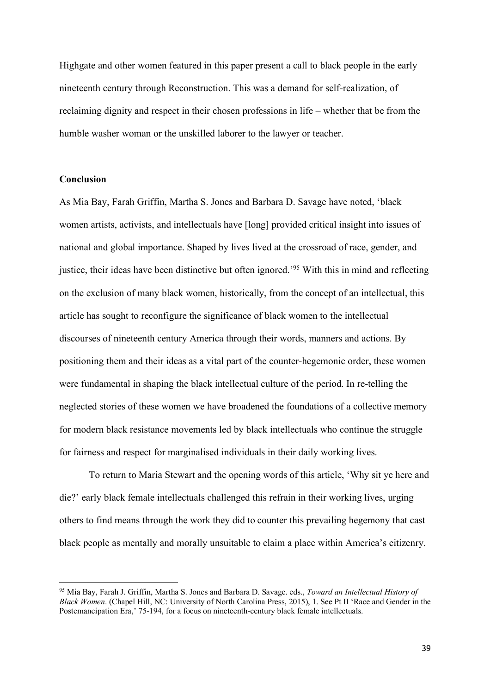Highgate and other women featured in this paper present a call to black people in the early nineteenth century through Reconstruction. This was a demand for self-realization, of reclaiming dignity and respect in their chosen professions in life – whether that be from the humble washer woman or the unskilled laborer to the lawyer or teacher.

#### **Conclusion**

As Mia Bay, Farah Griffin, Martha S. Jones and Barbara D. Savage have noted, 'black women artists, activists, and intellectuals have [long] provided critical insight into issues of national and global importance. Shaped by lives lived at the crossroad of race, gender, and justice, their ideas have been distinctive but often ignored.'95 With this in mind and reflecting on the exclusion of many black women, historically, from the concept of an intellectual, this article has sought to reconfigure the significance of black women to the intellectual discourses of nineteenth century America through their words, manners and actions. By positioning them and their ideas as a vital part of the counter-hegemonic order, these women were fundamental in shaping the black intellectual culture of the period. In re-telling the neglected stories of these women we have broadened the foundations of a collective memory for modern black resistance movements led by black intellectuals who continue the struggle for fairness and respect for marginalised individuals in their daily working lives.

To return to Maria Stewart and the opening words of this article, 'Why sit ye here and die?' early black female intellectuals challenged this refrain in their working lives, urging others to find means through the work they did to counter this prevailing hegemony that cast black people as mentally and morally unsuitable to claim a place within America's citizenry.

 <sup>95</sup> Mia Bay, Farah J. Griffin, Martha S. Jones and Barbara D. Savage. eds., *Toward an Intellectual History of Black Women*. (Chapel Hill, NC: University of North Carolina Press, 2015), 1. See Pt II 'Race and Gender in the Postemancipation Era,' 75-194, for a focus on nineteenth-century black female intellectuals.